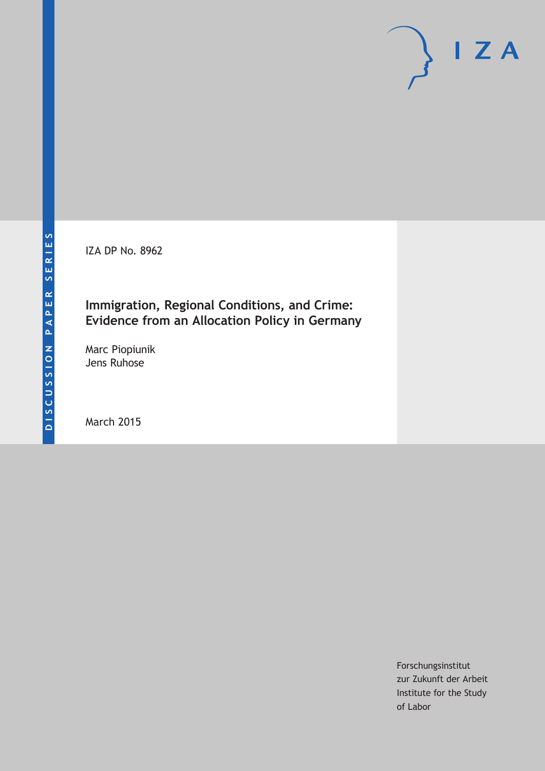IZA DP No. 8962

# **Immigration, Regional Conditions, and Crime: Evidence from an Allocation Policy in Germany**

Marc Piopiunik Jens Ruhose

March 2015

Forschungsinstitut zur Zukunft der Arbeit Institute for the Study of Labor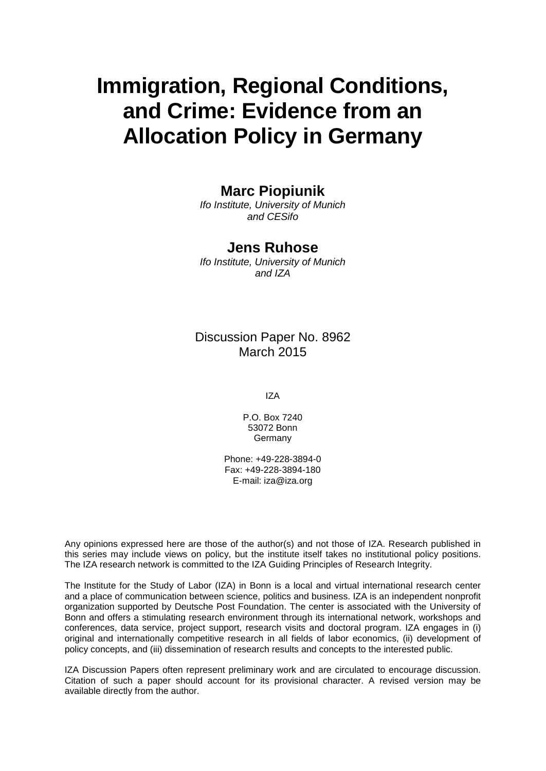# **Immigration, Regional Conditions, and Crime: Evidence from an Allocation Policy in Germany**

### **Marc Piopiunik**

*Ifo Institute, University of Munich and CESifo*

### **Jens Ruhose**

*Ifo Institute, University of Munich and IZA*

### Discussion Paper No. 8962 March 2015

IZA

P.O. Box 7240 53072 Bonn Germany

Phone: +49-228-3894-0 Fax: +49-228-3894-180 E-mail: iza@iza.org

Any opinions expressed here are those of the author(s) and not those of IZA. Research published in this series may include views on policy, but the institute itself takes no institutional policy positions. The IZA research network is committed to the IZA Guiding Principles of Research Integrity.

The Institute for the Study of Labor (IZA) in Bonn is a local and virtual international research center and a place of communication between science, politics and business. IZA is an independent nonprofit organization supported by Deutsche Post Foundation. The center is associated with the University of Bonn and offers a stimulating research environment through its international network, workshops and conferences, data service, project support, research visits and doctoral program. IZA engages in (i) original and internationally competitive research in all fields of labor economics, (ii) development of policy concepts, and (iii) dissemination of research results and concepts to the interested public.

<span id="page-1-0"></span>IZA Discussion Papers often represent preliminary work and are circulated to encourage discussion. Citation of such a paper should account for its provisional character. A revised version may be available directly from the author.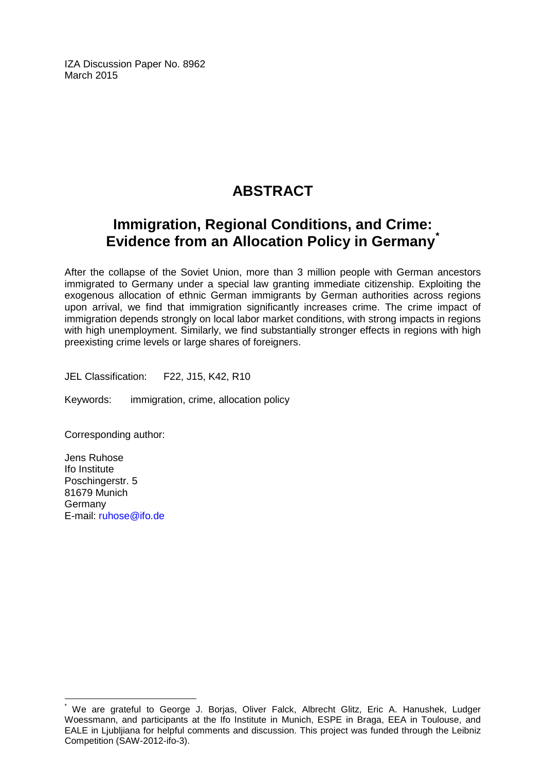IZA Discussion Paper No. 8962 March 2015

# **ABSTRACT**

# **Immigration, Regional Conditions, and Crime: Evidence from an Allocation Policy in Germany[\\*](#page-1-0)**

After the collapse of the Soviet Union, more than 3 million people with German ancestors immigrated to Germany under a special law granting immediate citizenship. Exploiting the exogenous allocation of ethnic German immigrants by German authorities across regions upon arrival, we find that immigration significantly increases crime. The crime impact of immigration depends strongly on local labor market conditions, with strong impacts in regions with high unemployment. Similarly, we find substantially stronger effects in regions with high preexisting crime levels or large shares of foreigners.

JEL Classification: F22, J15, K42, R10

Keywords: immigration, crime, allocation policy

Corresponding author:

Jens Ruhose Ifo Institute Poschingerstr. 5 81679 Munich Germany E-mail: [ruhose@ifo.de](mailto:ruhose@ifo.de)

We are grateful to George J. Borjas, Oliver Falck, Albrecht Glitz, Eric A. Hanushek, Ludger Woessmann, and participants at the Ifo Institute in Munich, ESPE in Braga, EEA in Toulouse, and EALE in Ljubljiana for helpful comments and discussion. This project was funded through the Leibniz Competition (SAW-2012-ifo-3).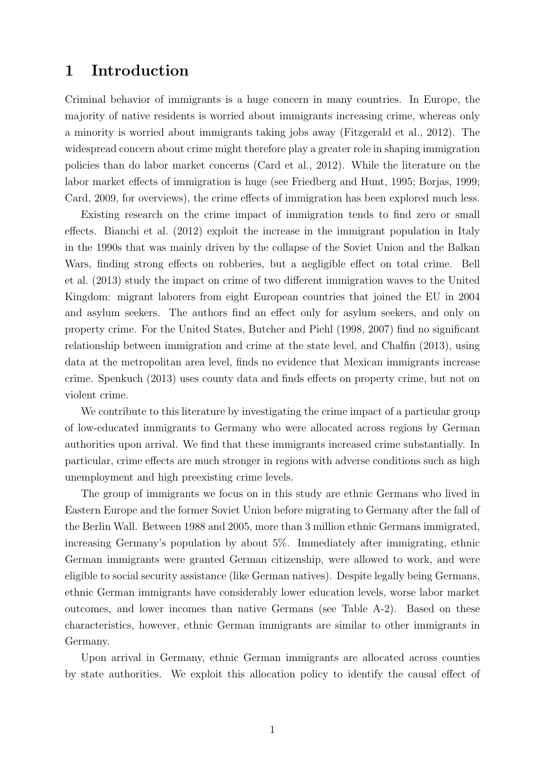### 1 Introduction

Criminal behavior of immigrants is a huge concern in many countries. In Europe, the majority of native residents is worried about immigrants increasing crime, whereas only a minority is worried about immigrants taking jobs away (Fitzgerald et al., 2012). The widespread concern about crime might therefore play a greater role in shaping immigration policies than do labor market concerns (Card et al., 2012). While the literature on the labor market effects of immigration is huge (see Friedberg and Hunt, 1995; Borjas, 1999; Card, 2009, for overviews), the crime effects of immigration has been explored much less.

Existing research on the crime impact of immigration tends to find zero or small effects. Bianchi et al. (2012) exploit the increase in the immigrant population in Italy in the 1990s that was mainly driven by the collapse of the Soviet Union and the Balkan Wars, finding strong effects on robberies, but a negligible effect on total crime. Bell et al. (2013) study the impact on crime of two different immigration waves to the United Kingdom: migrant laborers from eight European countries that joined the EU in 2004 and asylum seekers. The authors find an effect only for asylum seekers, and only on property crime. For the United States, Butcher and Piehl (1998, 2007) find no significant relationship between immigration and crime at the state level, and Chalfin (2013), using data at the metropolitan area level, finds no evidence that Mexican immigrants increase crime. Spenkuch (2013) uses county data and finds effects on property crime, but not on violent crime.

We contribute to this literature by investigating the crime impact of a particular group of low-educated immigrants to Germany who were allocated across regions by German authorities upon arrival. We find that these immigrants increased crime substantially. In particular, crime effects are much stronger in regions with adverse conditions such as high unemployment and high preexisting crime levels.

The group of immigrants we focus on in this study are ethnic Germans who lived in Eastern Europe and the former Soviet Union before migrating to Germany after the fall of the Berlin Wall. Between 1988 and 2005, more than 3 million ethnic Germans immigrated, increasing Germany's population by about 5%. Immediately after immigrating, ethnic German immigrants were granted German citizenship, were allowed to work, and were eligible to social security assistance (like German natives). Despite legally being Germans, ethnic German immigrants have considerably lower education levels, worse labor market outcomes, and lower incomes than native Germans (see Table A-2). Based on these characteristics, however, ethnic German immigrants are similar to other immigrants in Germany.

Upon arrival in Germany, ethnic German immigrants are allocated across counties by state authorities. We exploit this allocation policy to identify the causal effect of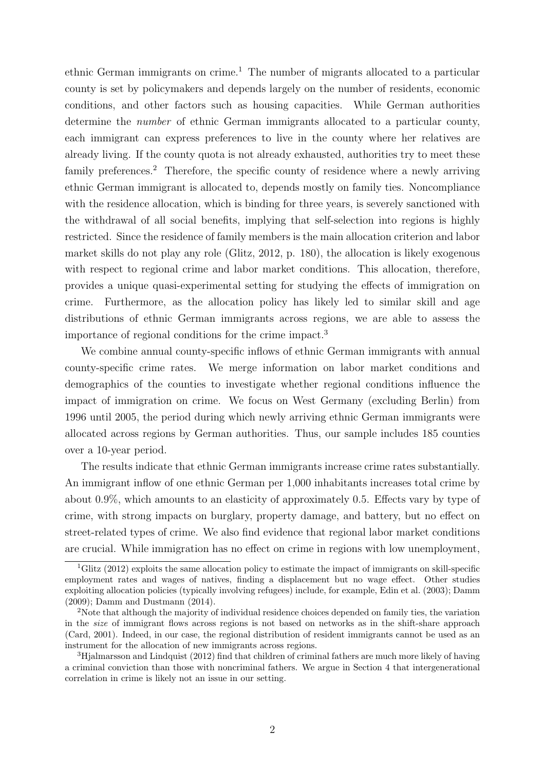ethnic German immigrants on crime.<sup>1</sup> The number of migrants allocated to a particular county is set by policymakers and depends largely on the number of residents, economic conditions, and other factors such as housing capacities. While German authorities determine the number of ethnic German immigrants allocated to a particular county, each immigrant can express preferences to live in the county where her relatives are already living. If the county quota is not already exhausted, authorities try to meet these family preferences.<sup>2</sup> Therefore, the specific county of residence where a newly arriving ethnic German immigrant is allocated to, depends mostly on family ties. Noncompliance with the residence allocation, which is binding for three years, is severely sanctioned with the withdrawal of all social benefits, implying that self-selection into regions is highly restricted. Since the residence of family members is the main allocation criterion and labor market skills do not play any role (Glitz, 2012, p. 180), the allocation is likely exogenous with respect to regional crime and labor market conditions. This allocation, therefore, provides a unique quasi-experimental setting for studying the effects of immigration on crime. Furthermore, as the allocation policy has likely led to similar skill and age distributions of ethnic German immigrants across regions, we are able to assess the importance of regional conditions for the crime impact.<sup>3</sup>

We combine annual county-specific inflows of ethnic German immigrants with annual county-specific crime rates. We merge information on labor market conditions and demographics of the counties to investigate whether regional conditions influence the impact of immigration on crime. We focus on West Germany (excluding Berlin) from 1996 until 2005, the period during which newly arriving ethnic German immigrants were allocated across regions by German authorities. Thus, our sample includes 185 counties over a 10-year period.

The results indicate that ethnic German immigrants increase crime rates substantially. An immigrant inflow of one ethnic German per 1,000 inhabitants increases total crime by about 0.9%, which amounts to an elasticity of approximately 0.5. Effects vary by type of crime, with strong impacts on burglary, property damage, and battery, but no effect on street-related types of crime. We also find evidence that regional labor market conditions are crucial. While immigration has no effect on crime in regions with low unemployment,

<sup>&</sup>lt;sup>1</sup>Glitz (2012) exploits the same allocation policy to estimate the impact of immigrants on skill-specific employment rates and wages of natives, finding a displacement but no wage effect. Other studies exploiting allocation policies (typically involving refugees) include, for example, Edin et al. (2003); Damm (2009); Damm and Dustmann (2014).

<sup>&</sup>lt;sup>2</sup>Note that although the majority of individual residence choices depended on family ties, the variation in the size of immigrant flows across regions is not based on networks as in the shift-share approach (Card, 2001). Indeed, in our case, the regional distribution of resident immigrants cannot be used as an instrument for the allocation of new immigrants across regions.

<sup>3</sup>Hjalmarsson and Lindquist (2012) find that children of criminal fathers are much more likely of having a criminal conviction than those with noncriminal fathers. We argue in Section 4 that intergenerational correlation in crime is likely not an issue in our setting.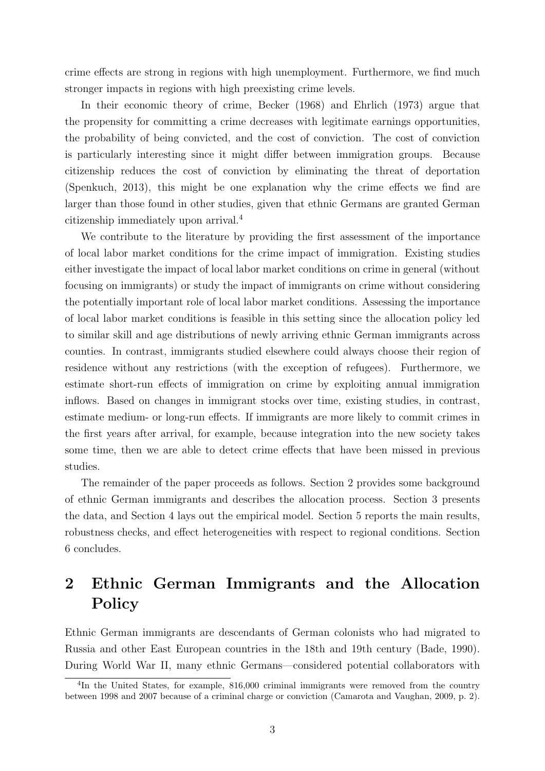crime effects are strong in regions with high unemployment. Furthermore, we find much stronger impacts in regions with high preexisting crime levels.

In their economic theory of crime, Becker (1968) and Ehrlich (1973) argue that the propensity for committing a crime decreases with legitimate earnings opportunities, the probability of being convicted, and the cost of conviction. The cost of conviction is particularly interesting since it might differ between immigration groups. Because citizenship reduces the cost of conviction by eliminating the threat of deportation (Spenkuch, 2013), this might be one explanation why the crime effects we find are larger than those found in other studies, given that ethnic Germans are granted German citizenship immediately upon arrival.<sup>4</sup>

We contribute to the literature by providing the first assessment of the importance of local labor market conditions for the crime impact of immigration. Existing studies either investigate the impact of local labor market conditions on crime in general (without focusing on immigrants) or study the impact of immigrants on crime without considering the potentially important role of local labor market conditions. Assessing the importance of local labor market conditions is feasible in this setting since the allocation policy led to similar skill and age distributions of newly arriving ethnic German immigrants across counties. In contrast, immigrants studied elsewhere could always choose their region of residence without any restrictions (with the exception of refugees). Furthermore, we estimate short-run effects of immigration on crime by exploiting annual immigration inflows. Based on changes in immigrant stocks over time, existing studies, in contrast, estimate medium- or long-run effects. If immigrants are more likely to commit crimes in the first years after arrival, for example, because integration into the new society takes some time, then we are able to detect crime effects that have been missed in previous studies.

The remainder of the paper proceeds as follows. Section 2 provides some background of ethnic German immigrants and describes the allocation process. Section 3 presents the data, and Section 4 lays out the empirical model. Section 5 reports the main results, robustness checks, and effect heterogeneities with respect to regional conditions. Section 6 concludes.

# 2 Ethnic German Immigrants and the Allocation Policy

Ethnic German immigrants are descendants of German colonists who had migrated to Russia and other East European countries in the 18th and 19th century (Bade, 1990). During World War II, many ethnic Germans—considered potential collaborators with

<sup>&</sup>lt;sup>4</sup>In the United States, for example, 816,000 criminal immigrants were removed from the country between 1998 and 2007 because of a criminal charge or conviction (Camarota and Vaughan, 2009, p. 2).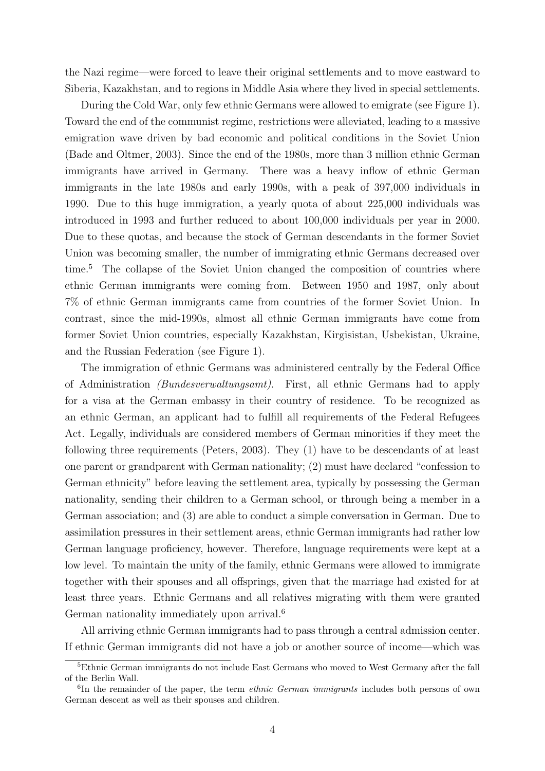the Nazi regime—were forced to leave their original settlements and to move eastward to Siberia, Kazakhstan, and to regions in Middle Asia where they lived in special settlements.

During the Cold War, only few ethnic Germans were allowed to emigrate (see Figure 1). Toward the end of the communist regime, restrictions were alleviated, leading to a massive emigration wave driven by bad economic and political conditions in the Soviet Union (Bade and Oltmer, 2003). Since the end of the 1980s, more than 3 million ethnic German immigrants have arrived in Germany. There was a heavy inflow of ethnic German immigrants in the late 1980s and early 1990s, with a peak of 397,000 individuals in 1990. Due to this huge immigration, a yearly quota of about 225,000 individuals was introduced in 1993 and further reduced to about 100,000 individuals per year in 2000. Due to these quotas, and because the stock of German descendants in the former Soviet Union was becoming smaller, the number of immigrating ethnic Germans decreased over time.<sup>5</sup> The collapse of the Soviet Union changed the composition of countries where ethnic German immigrants were coming from. Between 1950 and 1987, only about 7% of ethnic German immigrants came from countries of the former Soviet Union. In contrast, since the mid-1990s, almost all ethnic German immigrants have come from former Soviet Union countries, especially Kazakhstan, Kirgisistan, Usbekistan, Ukraine, and the Russian Federation (see Figure 1).

The immigration of ethnic Germans was administered centrally by the Federal Office of Administration (Bundesverwaltungsamt). First, all ethnic Germans had to apply for a visa at the German embassy in their country of residence. To be recognized as an ethnic German, an applicant had to fulfill all requirements of the Federal Refugees Act. Legally, individuals are considered members of German minorities if they meet the following three requirements (Peters, 2003). They (1) have to be descendants of at least one parent or grandparent with German nationality; (2) must have declared "confession to German ethnicity" before leaving the settlement area, typically by possessing the German nationality, sending their children to a German school, or through being a member in a German association; and (3) are able to conduct a simple conversation in German. Due to assimilation pressures in their settlement areas, ethnic German immigrants had rather low German language proficiency, however. Therefore, language requirements were kept at a low level. To maintain the unity of the family, ethnic Germans were allowed to immigrate together with their spouses and all offsprings, given that the marriage had existed for at least three years. Ethnic Germans and all relatives migrating with them were granted German nationality immediately upon arrival.<sup>6</sup>

All arriving ethnic German immigrants had to pass through a central admission center. If ethnic German immigrants did not have a job or another source of income—which was

<sup>5</sup>Ethnic German immigrants do not include East Germans who moved to West Germany after the fall of the Berlin Wall.

<sup>&</sup>lt;sup>6</sup>In the remainder of the paper, the term *ethnic German immigrants* includes both persons of own German descent as well as their spouses and children.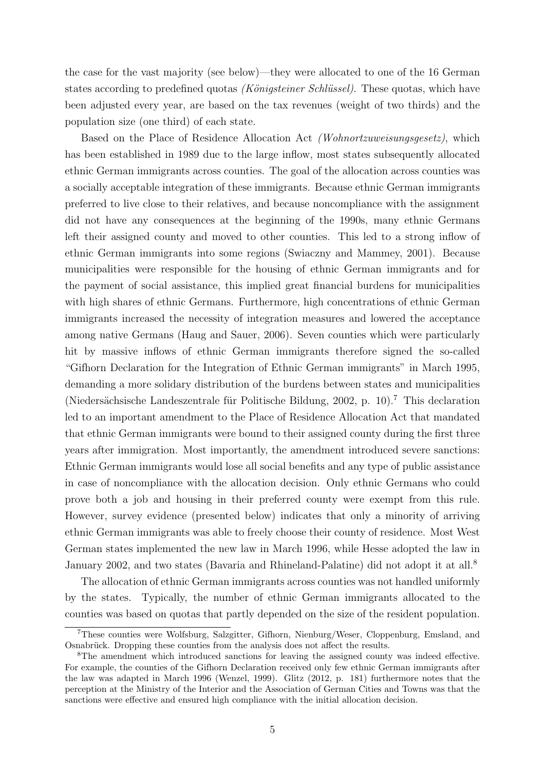the case for the vast majority (see below)—they were allocated to one of the 16 German states according to predefined quotas *(Königsteiner Schlüssel)*. These quotas, which have been adjusted every year, are based on the tax revenues (weight of two thirds) and the population size (one third) of each state.

Based on the Place of Residence Allocation Act (Wohnortzuweisungsgesetz), which has been established in 1989 due to the large inflow, most states subsequently allocated ethnic German immigrants across counties. The goal of the allocation across counties was a socially acceptable integration of these immigrants. Because ethnic German immigrants preferred to live close to their relatives, and because noncompliance with the assignment did not have any consequences at the beginning of the 1990s, many ethnic Germans left their assigned county and moved to other counties. This led to a strong inflow of ethnic German immigrants into some regions (Swiaczny and Mammey, 2001). Because municipalities were responsible for the housing of ethnic German immigrants and for the payment of social assistance, this implied great financial burdens for municipalities with high shares of ethnic Germans. Furthermore, high concentrations of ethnic German immigrants increased the necessity of integration measures and lowered the acceptance among native Germans (Haug and Sauer, 2006). Seven counties which were particularly hit by massive inflows of ethnic German immigrants therefore signed the so-called "Gifhorn Declaration for the Integration of Ethnic German immigrants" in March 1995, demanding a more solidary distribution of the burdens between states and municipalities (Niedersächsische Landeszentrale für Politische Bildung, 2002, p. 10).<sup>7</sup> This declaration led to an important amendment to the Place of Residence Allocation Act that mandated that ethnic German immigrants were bound to their assigned county during the first three years after immigration. Most importantly, the amendment introduced severe sanctions: Ethnic German immigrants would lose all social benefits and any type of public assistance in case of noncompliance with the allocation decision. Only ethnic Germans who could prove both a job and housing in their preferred county were exempt from this rule. However, survey evidence (presented below) indicates that only a minority of arriving ethnic German immigrants was able to freely choose their county of residence. Most West German states implemented the new law in March 1996, while Hesse adopted the law in January 2002, and two states (Bavaria and Rhineland-Palatine) did not adopt it at all.<sup>8</sup>

The allocation of ethnic German immigrants across counties was not handled uniformly by the states. Typically, the number of ethnic German immigrants allocated to the counties was based on quotas that partly depended on the size of the resident population.

<sup>7</sup>These counties were Wolfsburg, Salzgitter, Gifhorn, Nienburg/Weser, Cloppenburg, Emsland, and Osnabrück. Dropping these counties from the analysis does not affect the results.

<sup>8</sup>The amendment which introduced sanctions for leaving the assigned county was indeed effective. For example, the counties of the Gifhorn Declaration received only few ethnic German immigrants after the law was adapted in March 1996 (Wenzel, 1999). Glitz (2012, p. 181) furthermore notes that the perception at the Ministry of the Interior and the Association of German Cities and Towns was that the sanctions were effective and ensured high compliance with the initial allocation decision.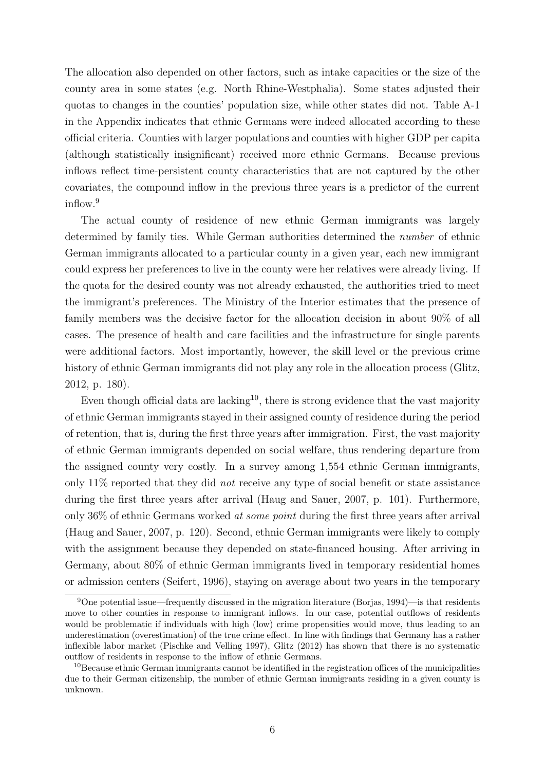The allocation also depended on other factors, such as intake capacities or the size of the county area in some states (e.g. North Rhine-Westphalia). Some states adjusted their quotas to changes in the counties' population size, while other states did not. Table A-1 in the Appendix indicates that ethnic Germans were indeed allocated according to these official criteria. Counties with larger populations and counties with higher GDP per capita (although statistically insignificant) received more ethnic Germans. Because previous inflows reflect time-persistent county characteristics that are not captured by the other covariates, the compound inflow in the previous three years is a predictor of the current inflow.<sup>9</sup>

The actual county of residence of new ethnic German immigrants was largely determined by family ties. While German authorities determined the number of ethnic German immigrants allocated to a particular county in a given year, each new immigrant could express her preferences to live in the county were her relatives were already living. If the quota for the desired county was not already exhausted, the authorities tried to meet the immigrant's preferences. The Ministry of the Interior estimates that the presence of family members was the decisive factor for the allocation decision in about 90% of all cases. The presence of health and care facilities and the infrastructure for single parents were additional factors. Most importantly, however, the skill level or the previous crime history of ethnic German immigrants did not play any role in the allocation process (Glitz, 2012, p. 180).

Even though official data are lacking<sup>10</sup>, there is strong evidence that the vast majority of ethnic German immigrants stayed in their assigned county of residence during the period of retention, that is, during the first three years after immigration. First, the vast majority of ethnic German immigrants depended on social welfare, thus rendering departure from the assigned county very costly. In a survey among 1,554 ethnic German immigrants, only 11% reported that they did not receive any type of social benefit or state assistance during the first three years after arrival (Haug and Sauer, 2007, p. 101). Furthermore, only 36% of ethnic Germans worked at some point during the first three years after arrival (Haug and Sauer, 2007, p. 120). Second, ethnic German immigrants were likely to comply with the assignment because they depended on state-financed housing. After arriving in Germany, about 80% of ethnic German immigrants lived in temporary residential homes or admission centers (Seifert, 1996), staying on average about two years in the temporary

<sup>9</sup>One potential issue—frequently discussed in the migration literature (Borjas, 1994)—is that residents move to other counties in response to immigrant inflows. In our case, potential outflows of residents would be problematic if individuals with high (low) crime propensities would move, thus leading to an underestimation (overestimation) of the true crime effect. In line with findings that Germany has a rather inflexible labor market (Pischke and Velling 1997), Glitz (2012) has shown that there is no systematic outflow of residents in response to the inflow of ethnic Germans.

<sup>&</sup>lt;sup>10</sup>Because ethnic German immigrants cannot be identified in the registration offices of the municipalities due to their German citizenship, the number of ethnic German immigrants residing in a given county is unknown.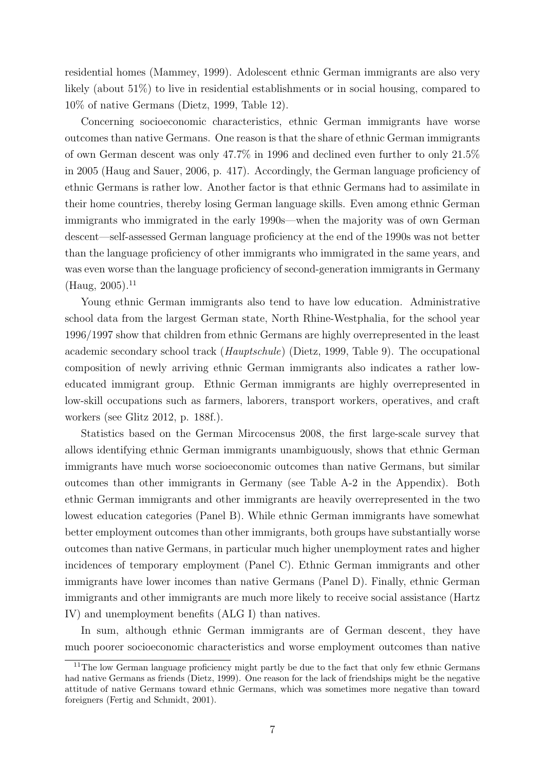residential homes (Mammey, 1999). Adolescent ethnic German immigrants are also very likely (about 51%) to live in residential establishments or in social housing, compared to 10% of native Germans (Dietz, 1999, Table 12).

Concerning socioeconomic characteristics, ethnic German immigrants have worse outcomes than native Germans. One reason is that the share of ethnic German immigrants of own German descent was only 47.7% in 1996 and declined even further to only 21.5% in 2005 (Haug and Sauer, 2006, p. 417). Accordingly, the German language proficiency of ethnic Germans is rather low. Another factor is that ethnic Germans had to assimilate in their home countries, thereby losing German language skills. Even among ethnic German immigrants who immigrated in the early 1990s—when the majority was of own German descent—self-assessed German language proficiency at the end of the 1990s was not better than the language proficiency of other immigrants who immigrated in the same years, and was even worse than the language proficiency of second-generation immigrants in Germany  $(Haug, 2005).<sup>11</sup>$ 

Young ethnic German immigrants also tend to have low education. Administrative school data from the largest German state, North Rhine-Westphalia, for the school year 1996/1997 show that children from ethnic Germans are highly overrepresented in the least academic secondary school track (Hauptschule) (Dietz, 1999, Table 9). The occupational composition of newly arriving ethnic German immigrants also indicates a rather loweducated immigrant group. Ethnic German immigrants are highly overrepresented in low-skill occupations such as farmers, laborers, transport workers, operatives, and craft workers (see Glitz 2012, p. 188f.).

Statistics based on the German Mircocensus 2008, the first large-scale survey that allows identifying ethnic German immigrants unambiguously, shows that ethnic German immigrants have much worse socioeconomic outcomes than native Germans, but similar outcomes than other immigrants in Germany (see Table A-2 in the Appendix). Both ethnic German immigrants and other immigrants are heavily overrepresented in the two lowest education categories (Panel B). While ethnic German immigrants have somewhat better employment outcomes than other immigrants, both groups have substantially worse outcomes than native Germans, in particular much higher unemployment rates and higher incidences of temporary employment (Panel C). Ethnic German immigrants and other immigrants have lower incomes than native Germans (Panel D). Finally, ethnic German immigrants and other immigrants are much more likely to receive social assistance (Hartz IV) and unemployment benefits (ALG I) than natives.

In sum, although ethnic German immigrants are of German descent, they have much poorer socioeconomic characteristics and worse employment outcomes than native

<sup>&</sup>lt;sup>11</sup>The low German language proficiency might partly be due to the fact that only few ethnic Germans had native Germans as friends (Dietz, 1999). One reason for the lack of friendships might be the negative attitude of native Germans toward ethnic Germans, which was sometimes more negative than toward foreigners (Fertig and Schmidt, 2001).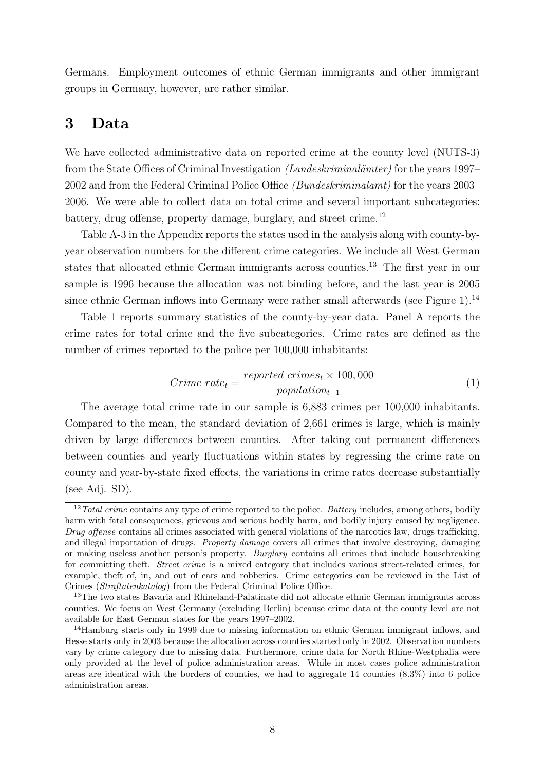Germans. Employment outcomes of ethnic German immigrants and other immigrant groups in Germany, however, are rather similar.

### 3 Data

We have collected administrative data on reported crime at the county level (NUTS-3) from the State Offices of Criminal Investigation (Landeskriminalämter) for the years 1997– 2002 and from the Federal Criminal Police Office (Bundeskriminalamt) for the years 2003– 2006. We were able to collect data on total crime and several important subcategories: battery, drug offense, property damage, burglary, and street crime.<sup>12</sup>

Table A-3 in the Appendix reports the states used in the analysis along with county-byyear observation numbers for the different crime categories. We include all West German states that allocated ethnic German immigrants across counties.<sup>13</sup> The first year in our sample is 1996 because the allocation was not binding before, and the last year is 2005 since ethnic German inflows into Germany were rather small afterwards (see Figure 1).<sup>14</sup>

Table 1 reports summary statistics of the county-by-year data. Panel A reports the crime rates for total crime and the five subcategories. Crime rates are defined as the number of crimes reported to the police per 100,000 inhabitants:

$$
Crime\ rate_t = \frac{reported\ crime_{st} \times 100,000}{population_{t-1}}
$$
\n<sup>(1)</sup>

The average total crime rate in our sample is 6,883 crimes per 100,000 inhabitants. Compared to the mean, the standard deviation of 2,661 crimes is large, which is mainly driven by large differences between counties. After taking out permanent differences between counties and yearly fluctuations within states by regressing the crime rate on county and year-by-state fixed effects, the variations in crime rates decrease substantially (see Adj. SD).

 $12 Total crime contains any type of crime reported to the police. *Battery* includes, among others, bodily$ harm with fatal consequences, grievous and serious bodily harm, and bodily injury caused by negligence. Drug offense contains all crimes associated with general violations of the narcotics law, drugs trafficking, and illegal importation of drugs. Property damage covers all crimes that involve destroying, damaging or making useless another person's property. Burglary contains all crimes that include housebreaking for committing theft. *Street crime* is a mixed category that includes various street-related crimes, for example, theft of, in, and out of cars and robberies. Crime categories can be reviewed in the List of Crimes (Straftatenkatalog) from the Federal Criminal Police Office.

<sup>&</sup>lt;sup>13</sup>The two states Bavaria and Rhineland-Palatinate did not allocate ethnic German immigrants across counties. We focus on West Germany (excluding Berlin) because crime data at the county level are not available for East German states for the years 1997–2002.

<sup>&</sup>lt;sup>14</sup>Hamburg starts only in 1999 due to missing information on ethnic German immigrant inflows, and Hesse starts only in 2003 because the allocation across counties started only in 2002. Observation numbers vary by crime category due to missing data. Furthermore, crime data for North Rhine-Westphalia were only provided at the level of police administration areas. While in most cases police administration areas are identical with the borders of counties, we had to aggregate 14 counties (8.3%) into 6 police administration areas.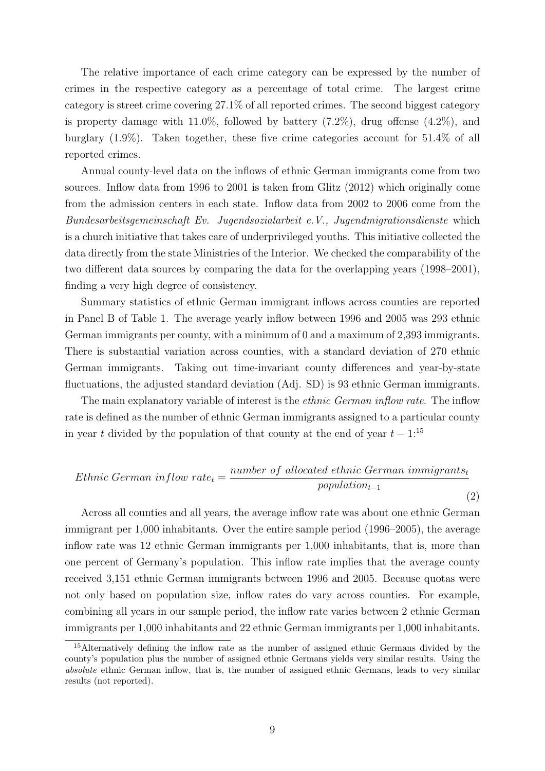The relative importance of each crime category can be expressed by the number of crimes in the respective category as a percentage of total crime. The largest crime category is street crime covering 27.1% of all reported crimes. The second biggest category is property damage with  $11.0\%$ , followed by battery  $(7.2\%)$ , drug offense  $(4.2\%)$ , and burglary (1.9%). Taken together, these five crime categories account for 51.4% of all reported crimes.

Annual county-level data on the inflows of ethnic German immigrants come from two sources. Inflow data from 1996 to 2001 is taken from Glitz (2012) which originally come from the admission centers in each state. Inflow data from 2002 to 2006 come from the Bundesarbeitsgemeinschaft Ev. Jugendsozialarbeit e.V., Jugendmigrationsdienste which is a church initiative that takes care of underprivileged youths. This initiative collected the data directly from the state Ministries of the Interior. We checked the comparability of the two different data sources by comparing the data for the overlapping years (1998–2001), finding a very high degree of consistency.

Summary statistics of ethnic German immigrant inflows across counties are reported in Panel B of Table 1. The average yearly inflow between 1996 and 2005 was 293 ethnic German immigrants per county, with a minimum of 0 and a maximum of 2,393 immigrants. There is substantial variation across counties, with a standard deviation of 270 ethnic German immigrants. Taking out time-invariant county differences and year-by-state fluctuations, the adjusted standard deviation (Adj. SD) is 93 ethnic German immigrants.

The main explanatory variable of interest is the *ethnic German inflow rate*. The inflow rate is defined as the number of ethnic German immigrants assigned to a particular county in year t divided by the population of that county at the end of year  $t - 1$ :<sup>15</sup>

$$
Ethnic German\ inflow\ rate_{t} = \frac{number\ of\ allocated\ ethnic\ German\ immigrants_{t}}{population_{t-1}}
$$
\n(2)

Across all counties and all years, the average inflow rate was about one ethnic German immigrant per 1,000 inhabitants. Over the entire sample period (1996–2005), the average inflow rate was 12 ethnic German immigrants per 1,000 inhabitants, that is, more than one percent of Germany's population. This inflow rate implies that the average county received 3,151 ethnic German immigrants between 1996 and 2005. Because quotas were not only based on population size, inflow rates do vary across counties. For example, combining all years in our sample period, the inflow rate varies between 2 ethnic German immigrants per 1,000 inhabitants and 22 ethnic German immigrants per 1,000 inhabitants.

<sup>15</sup>Alternatively defining the inflow rate as the number of assigned ethnic Germans divided by the county's population plus the number of assigned ethnic Germans yields very similar results. Using the absolute ethnic German inflow, that is, the number of assigned ethnic Germans, leads to very similar results (not reported).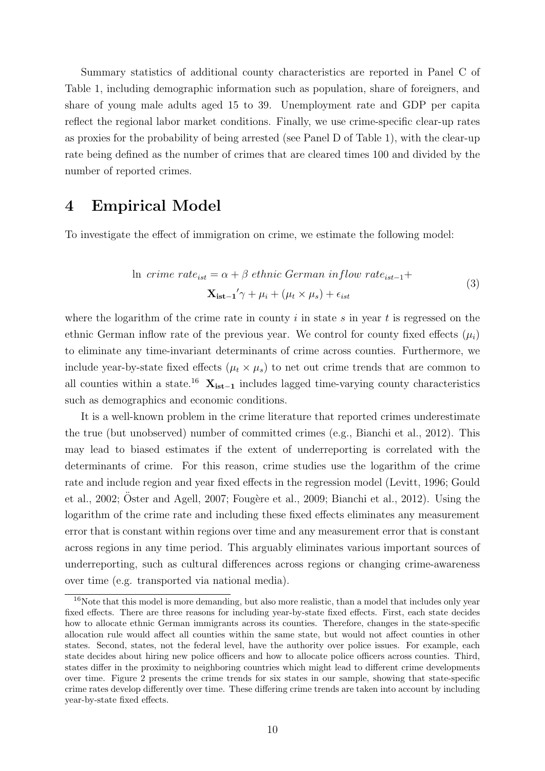Summary statistics of additional county characteristics are reported in Panel C of Table 1, including demographic information such as population, share of foreigners, and share of young male adults aged 15 to 39. Unemployment rate and GDP per capita reflect the regional labor market conditions. Finally, we use crime-specific clear-up rates as proxies for the probability of being arrested (see Panel D of Table 1), with the clear-up rate being defined as the number of crimes that are cleared times 100 and divided by the number of reported crimes.

# 4 Empirical Model

To investigate the effect of immigration on crime, we estimate the following model:

In  *crime rate*<sub>ist</sub> = 
$$
\alpha + \beta
$$
 *ethnic German inflow rate*<sub>ist-1</sub>+  

$$
\mathbf{X_{ist-1}}' \gamma + \mu_i + (\mu_t \times \mu_s) + \epsilon_{ist}
$$
(3)

where the logarithm of the crime rate in county i in state s in year t is regressed on the ethnic German inflow rate of the previous year. We control for county fixed effects  $(\mu_i)$ to eliminate any time-invariant determinants of crime across counties. Furthermore, we include year-by-state fixed effects  $(\mu_t \times \mu_s)$  to net out crime trends that are common to all counties within a state.<sup>16</sup>  $X_{ist-1}$  includes lagged time-varying county characteristics such as demographics and economic conditions.

It is a well-known problem in the crime literature that reported crimes underestimate the true (but unobserved) number of committed crimes (e.g., Bianchi et al., 2012). This may lead to biased estimates if the extent of underreporting is correlated with the determinants of crime. For this reason, crime studies use the logarithm of the crime rate and include region and year fixed effects in the regression model (Levitt, 1996; Gould et al., 2002; Oster and Agell, 2007; Fougère et al., 2009; Bianchi et al., 2012). Using the logarithm of the crime rate and including these fixed effects eliminates any measurement error that is constant within regions over time and any measurement error that is constant across regions in any time period. This arguably eliminates various important sources of underreporting, such as cultural differences across regions or changing crime-awareness over time (e.g. transported via national media).

 $16$ Note that this model is more demanding, but also more realistic, than a model that includes only year fixed effects. There are three reasons for including year-by-state fixed effects. First, each state decides how to allocate ethnic German immigrants across its counties. Therefore, changes in the state-specific allocation rule would affect all counties within the same state, but would not affect counties in other states. Second, states, not the federal level, have the authority over police issues. For example, each state decides about hiring new police officers and how to allocate police officers across counties. Third, states differ in the proximity to neighboring countries which might lead to different crime developments over time. Figure 2 presents the crime trends for six states in our sample, showing that state-specific crime rates develop differently over time. These differing crime trends are taken into account by including year-by-state fixed effects.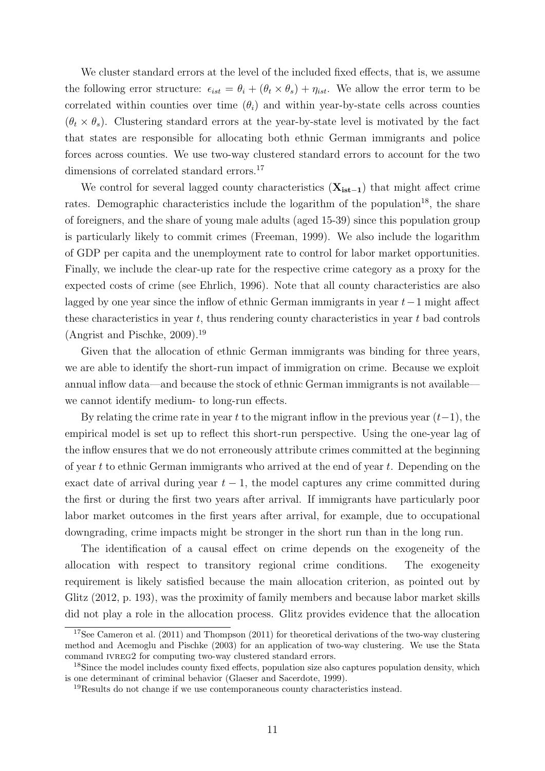We cluster standard errors at the level of the included fixed effects, that is, we assume the following error structure:  $\epsilon_{ist} = \theta_i + (\theta_t \times \theta_s) + \eta_{ist}$ . We allow the error term to be correlated within counties over time  $(\theta_i)$  and within year-by-state cells across counties  $(\theta_t \times \theta_s)$ . Clustering standard errors at the year-by-state level is motivated by the fact that states are responsible for allocating both ethnic German immigrants and police forces across counties. We use two-way clustered standard errors to account for the two dimensions of correlated standard errors.<sup>17</sup>

We control for several lagged county characteristics  $(X_{ist-1})$  that might affect crime rates. Demographic characteristics include the logarithm of the population<sup>18</sup>, the share of foreigners, and the share of young male adults (aged 15-39) since this population group is particularly likely to commit crimes (Freeman, 1999). We also include the logarithm of GDP per capita and the unemployment rate to control for labor market opportunities. Finally, we include the clear-up rate for the respective crime category as a proxy for the expected costs of crime (see Ehrlich, 1996). Note that all county characteristics are also lagged by one year since the inflow of ethnic German immigrants in year  $t-1$  might affect these characteristics in year  $t$ , thus rendering county characteristics in year  $t$  bad controls (Angrist and Pischke, 2009).<sup>19</sup>

Given that the allocation of ethnic German immigrants was binding for three years, we are able to identify the short-run impact of immigration on crime. Because we exploit annual inflow data—and because the stock of ethnic German immigrants is not available we cannot identify medium- to long-run effects.

By relating the crime rate in year t to the migrant inflow in the previous year  $(t-1)$ , the empirical model is set up to reflect this short-run perspective. Using the one-year lag of the inflow ensures that we do not erroneously attribute crimes committed at the beginning of year t to ethnic German immigrants who arrived at the end of year t. Depending on the exact date of arrival during year  $t - 1$ , the model captures any crime committed during the first or during the first two years after arrival. If immigrants have particularly poor labor market outcomes in the first years after arrival, for example, due to occupational downgrading, crime impacts might be stronger in the short run than in the long run.

The identification of a causal effect on crime depends on the exogeneity of the allocation with respect to transitory regional crime conditions. The exogeneity requirement is likely satisfied because the main allocation criterion, as pointed out by Glitz (2012, p. 193), was the proximity of family members and because labor market skills did not play a role in the allocation process. Glitz provides evidence that the allocation

<sup>&</sup>lt;sup>17</sup>See Cameron et al.  $(2011)$  and Thompson  $(2011)$  for theoretical derivations of the two-way clustering method and Acemoglu and Pischke (2003) for an application of two-way clustering. We use the Stata command IVREG2 for computing two-way clustered standard errors.

<sup>&</sup>lt;sup>18</sup>Since the model includes county fixed effects, population size also captures population density, which is one determinant of criminal behavior (Glaeser and Sacerdote, 1999).

<sup>19</sup>Results do not change if we use contemporaneous county characteristics instead.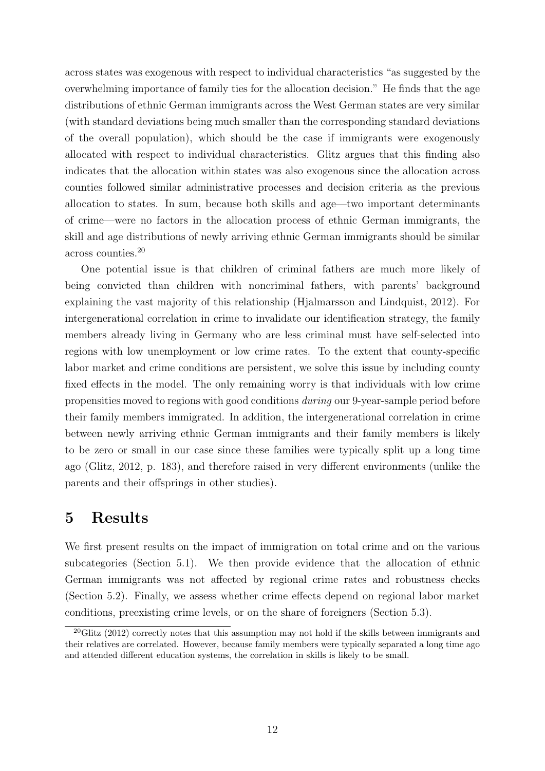across states was exogenous with respect to individual characteristics "as suggested by the overwhelming importance of family ties for the allocation decision." He finds that the age distributions of ethnic German immigrants across the West German states are very similar (with standard deviations being much smaller than the corresponding standard deviations of the overall population), which should be the case if immigrants were exogenously allocated with respect to individual characteristics. Glitz argues that this finding also indicates that the allocation within states was also exogenous since the allocation across counties followed similar administrative processes and decision criteria as the previous allocation to states. In sum, because both skills and age—two important determinants of crime—were no factors in the allocation process of ethnic German immigrants, the skill and age distributions of newly arriving ethnic German immigrants should be similar across counties.<sup>20</sup>

One potential issue is that children of criminal fathers are much more likely of being convicted than children with noncriminal fathers, with parents' background explaining the vast majority of this relationship (Hjalmarsson and Lindquist, 2012). For intergenerational correlation in crime to invalidate our identification strategy, the family members already living in Germany who are less criminal must have self-selected into regions with low unemployment or low crime rates. To the extent that county-specific labor market and crime conditions are persistent, we solve this issue by including county fixed effects in the model. The only remaining worry is that individuals with low crime propensities moved to regions with good conditions during our 9-year-sample period before their family members immigrated. In addition, the intergenerational correlation in crime between newly arriving ethnic German immigrants and their family members is likely to be zero or small in our case since these families were typically split up a long time ago (Glitz, 2012, p. 183), and therefore raised in very different environments (unlike the parents and their offsprings in other studies).

# 5 Results

We first present results on the impact of immigration on total crime and on the various subcategories (Section 5.1). We then provide evidence that the allocation of ethnic German immigrants was not affected by regional crime rates and robustness checks (Section 5.2). Finally, we assess whether crime effects depend on regional labor market conditions, preexisting crime levels, or on the share of foreigners (Section 5.3).

 $20$ Glitz (2012) correctly notes that this assumption may not hold if the skills between immigrants and their relatives are correlated. However, because family members were typically separated a long time ago and attended different education systems, the correlation in skills is likely to be small.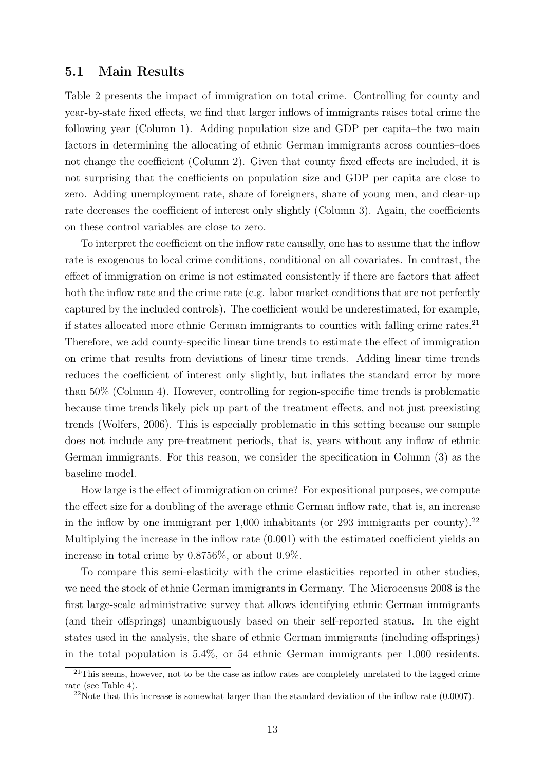#### 5.1 Main Results

Table 2 presents the impact of immigration on total crime. Controlling for county and year-by-state fixed effects, we find that larger inflows of immigrants raises total crime the following year (Column 1). Adding population size and GDP per capita–the two main factors in determining the allocating of ethnic German immigrants across counties–does not change the coefficient (Column 2). Given that county fixed effects are included, it is not surprising that the coefficients on population size and GDP per capita are close to zero. Adding unemployment rate, share of foreigners, share of young men, and clear-up rate decreases the coefficient of interest only slightly (Column 3). Again, the coefficients on these control variables are close to zero.

To interpret the coefficient on the inflow rate causally, one has to assume that the inflow rate is exogenous to local crime conditions, conditional on all covariates. In contrast, the effect of immigration on crime is not estimated consistently if there are factors that affect both the inflow rate and the crime rate (e.g. labor market conditions that are not perfectly captured by the included controls). The coefficient would be underestimated, for example, if states allocated more ethnic German immigrants to counties with falling crime rates.<sup>21</sup> Therefore, we add county-specific linear time trends to estimate the effect of immigration on crime that results from deviations of linear time trends. Adding linear time trends reduces the coefficient of interest only slightly, but inflates the standard error by more than 50% (Column 4). However, controlling for region-specific time trends is problematic because time trends likely pick up part of the treatment effects, and not just preexisting trends (Wolfers, 2006). This is especially problematic in this setting because our sample does not include any pre-treatment periods, that is, years without any inflow of ethnic German immigrants. For this reason, we consider the specification in Column (3) as the baseline model.

How large is the effect of immigration on crime? For expositional purposes, we compute the effect size for a doubling of the average ethnic German inflow rate, that is, an increase in the inflow by one immigrant per  $1,000$  inhabitants (or 293 immigrants per county).<sup>22</sup> Multiplying the increase in the inflow rate (0.001) with the estimated coefficient yields an increase in total crime by 0.8756%, or about 0.9%.

To compare this semi-elasticity with the crime elasticities reported in other studies, we need the stock of ethnic German immigrants in Germany. The Microcensus 2008 is the first large-scale administrative survey that allows identifying ethnic German immigrants (and their offsprings) unambiguously based on their self-reported status. In the eight states used in the analysis, the share of ethnic German immigrants (including offsprings) in the total population is 5.4%, or 54 ethnic German immigrants per 1,000 residents.

<sup>&</sup>lt;sup>21</sup>This seems, however, not to be the case as inflow rates are completely unrelated to the lagged crime rate (see Table 4).

<sup>&</sup>lt;sup>22</sup>Note that this increase is somewhat larger than the standard deviation of the inflow rate  $(0.0007)$ .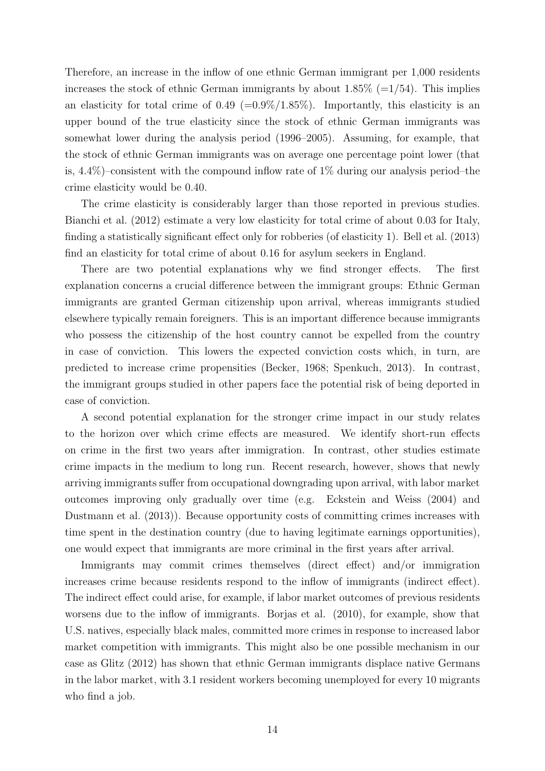Therefore, an increase in the inflow of one ethnic German immigrant per 1,000 residents increases the stock of ethnic German immigrants by about  $1.85\%$  (=1/54). This implies an elasticity for total crime of  $0.49$  (= $0.9\%/1.85\%$ ). Importantly, this elasticity is an upper bound of the true elasticity since the stock of ethnic German immigrants was somewhat lower during the analysis period (1996–2005). Assuming, for example, that the stock of ethnic German immigrants was on average one percentage point lower (that is,  $4.4\%$ )–consistent with the compound inflow rate of  $1\%$  during our analysis period–the crime elasticity would be 0.40.

The crime elasticity is considerably larger than those reported in previous studies. Bianchi et al. (2012) estimate a very low elasticity for total crime of about 0.03 for Italy, finding a statistically significant effect only for robberies (of elasticity 1). Bell et al. (2013) find an elasticity for total crime of about 0.16 for asylum seekers in England.

There are two potential explanations why we find stronger effects. The first explanation concerns a crucial difference between the immigrant groups: Ethnic German immigrants are granted German citizenship upon arrival, whereas immigrants studied elsewhere typically remain foreigners. This is an important difference because immigrants who possess the citizenship of the host country cannot be expelled from the country in case of conviction. This lowers the expected conviction costs which, in turn, are predicted to increase crime propensities (Becker, 1968; Spenkuch, 2013). In contrast, the immigrant groups studied in other papers face the potential risk of being deported in case of conviction.

A second potential explanation for the stronger crime impact in our study relates to the horizon over which crime effects are measured. We identify short-run effects on crime in the first two years after immigration. In contrast, other studies estimate crime impacts in the medium to long run. Recent research, however, shows that newly arriving immigrants suffer from occupational downgrading upon arrival, with labor market outcomes improving only gradually over time (e.g. Eckstein and Weiss (2004) and Dustmann et al. (2013)). Because opportunity costs of committing crimes increases with time spent in the destination country (due to having legitimate earnings opportunities), one would expect that immigrants are more criminal in the first years after arrival.

Immigrants may commit crimes themselves (direct effect) and/or immigration increases crime because residents respond to the inflow of immigrants (indirect effect). The indirect effect could arise, for example, if labor market outcomes of previous residents worsens due to the inflow of immigrants. Borjas et al. (2010), for example, show that U.S. natives, especially black males, committed more crimes in response to increased labor market competition with immigrants. This might also be one possible mechanism in our case as Glitz (2012) has shown that ethnic German immigrants displace native Germans in the labor market, with 3.1 resident workers becoming unemployed for every 10 migrants who find a job.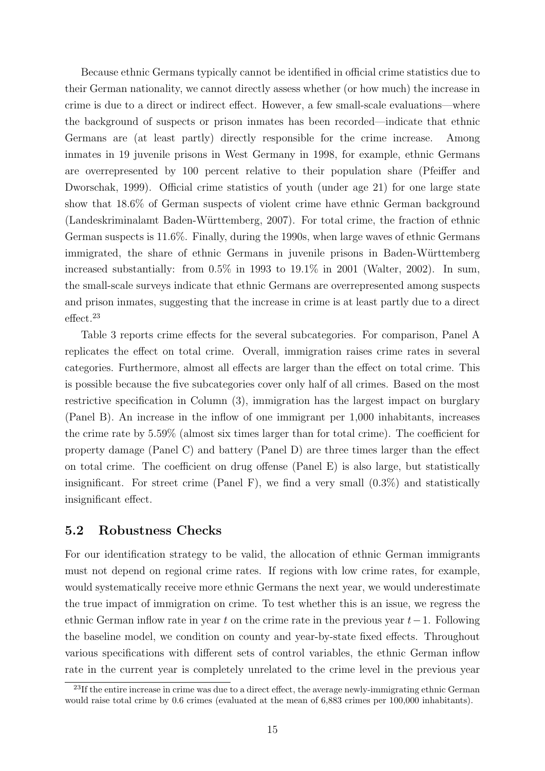Because ethnic Germans typically cannot be identified in official crime statistics due to their German nationality, we cannot directly assess whether (or how much) the increase in crime is due to a direct or indirect effect. However, a few small-scale evaluations—where the background of suspects or prison inmates has been recorded—indicate that ethnic Germans are (at least partly) directly responsible for the crime increase. Among inmates in 19 juvenile prisons in West Germany in 1998, for example, ethnic Germans are overrepresented by 100 percent relative to their population share (Pfeiffer and Dworschak, 1999). Official crime statistics of youth (under age 21) for one large state show that 18.6% of German suspects of violent crime have ethnic German background (Landeskriminalamt Baden-W¨urttemberg, 2007). For total crime, the fraction of ethnic German suspects is 11.6%. Finally, during the 1990s, when large waves of ethnic Germans immigrated, the share of ethnic Germans in juvenile prisons in Baden-Württemberg increased substantially: from 0.5% in 1993 to 19.1% in 2001 (Walter, 2002). In sum, the small-scale surveys indicate that ethnic Germans are overrepresented among suspects and prison inmates, suggesting that the increase in crime is at least partly due to a direct effect.<sup>23</sup>

Table 3 reports crime effects for the several subcategories. For comparison, Panel A replicates the effect on total crime. Overall, immigration raises crime rates in several categories. Furthermore, almost all effects are larger than the effect on total crime. This is possible because the five subcategories cover only half of all crimes. Based on the most restrictive specification in Column (3), immigration has the largest impact on burglary (Panel B). An increase in the inflow of one immigrant per 1,000 inhabitants, increases the crime rate by 5.59% (almost six times larger than for total crime). The coefficient for property damage (Panel C) and battery (Panel D) are three times larger than the effect on total crime. The coefficient on drug offense (Panel E) is also large, but statistically insignificant. For street crime (Panel F), we find a very small  $(0.3\%)$  and statistically insignificant effect.

#### 5.2 Robustness Checks

For our identification strategy to be valid, the allocation of ethnic German immigrants must not depend on regional crime rates. If regions with low crime rates, for example, would systematically receive more ethnic Germans the next year, we would underestimate the true impact of immigration on crime. To test whether this is an issue, we regress the ethnic German inflow rate in year t on the crime rate in the previous year  $t-1$ . Following the baseline model, we condition on county and year-by-state fixed effects. Throughout various specifications with different sets of control variables, the ethnic German inflow rate in the current year is completely unrelated to the crime level in the previous year

<sup>&</sup>lt;sup>23</sup>If the entire increase in crime was due to a direct effect, the average newly-immigrating ethnic German would raise total crime by 0.6 crimes (evaluated at the mean of 6,883 crimes per 100,000 inhabitants).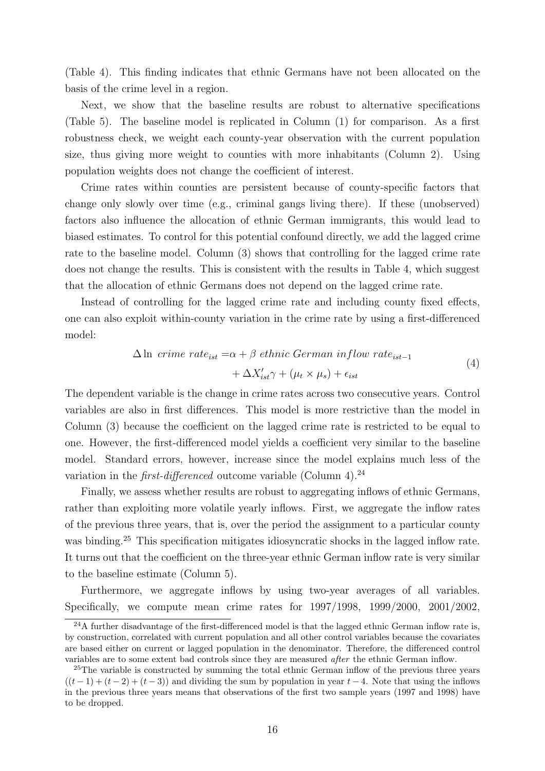(Table 4). This finding indicates that ethnic Germans have not been allocated on the basis of the crime level in a region.

Next, we show that the baseline results are robust to alternative specifications (Table 5). The baseline model is replicated in Column (1) for comparison. As a first robustness check, we weight each county-year observation with the current population size, thus giving more weight to counties with more inhabitants (Column 2). Using population weights does not change the coefficient of interest.

Crime rates within counties are persistent because of county-specific factors that change only slowly over time (e.g., criminal gangs living there). If these (unobserved) factors also influence the allocation of ethnic German immigrants, this would lead to biased estimates. To control for this potential confound directly, we add the lagged crime rate to the baseline model. Column (3) shows that controlling for the lagged crime rate does not change the results. This is consistent with the results in Table 4, which suggest that the allocation of ethnic Germans does not depend on the lagged crime rate.

Instead of controlling for the lagged crime rate and including county fixed effects, one can also exploit within-county variation in the crime rate by using a first-differenced model:

$$
\Delta \ln \text{ crime rate}_{ist} = \alpha + \beta \text{ ethnic German inflow rate}_{ist-1} + \Delta X'_{ist} \gamma + (\mu_t \times \mu_s) + \epsilon_{ist}
$$
\n
$$
\tag{4}
$$

The dependent variable is the change in crime rates across two consecutive years. Control variables are also in first differences. This model is more restrictive than the model in Column (3) because the coefficient on the lagged crime rate is restricted to be equal to one. However, the first-differenced model yields a coefficient very similar to the baseline model. Standard errors, however, increase since the model explains much less of the variation in the *first-differenced* outcome variable (Column 4).<sup>24</sup>

Finally, we assess whether results are robust to aggregating inflows of ethnic Germans, rather than exploiting more volatile yearly inflows. First, we aggregate the inflow rates of the previous three years, that is, over the period the assignment to a particular county was binding.<sup>25</sup> This specification mitigates idiosyncratic shocks in the lagged inflow rate. It turns out that the coefficient on the three-year ethnic German inflow rate is very similar to the baseline estimate (Column 5).

Furthermore, we aggregate inflows by using two-year averages of all variables. Specifically, we compute mean crime rates for 1997/1998, 1999/2000, 2001/2002,

 $^{24}$ A further disadvantage of the first-differenced model is that the lagged ethnic German inflow rate is, by construction, correlated with current population and all other control variables because the covariates are based either on current or lagged population in the denominator. Therefore, the differenced control variables are to some extent bad controls since they are measured after the ethnic German inflow.

<sup>&</sup>lt;sup>25</sup>The variable is constructed by summing the total ethnic German inflow of the previous three years  $((t-1)+(t-2)+(t-3))$  and dividing the sum by population in year  $t-4$ . Note that using the inflows in the previous three years means that observations of the first two sample years (1997 and 1998) have to be dropped.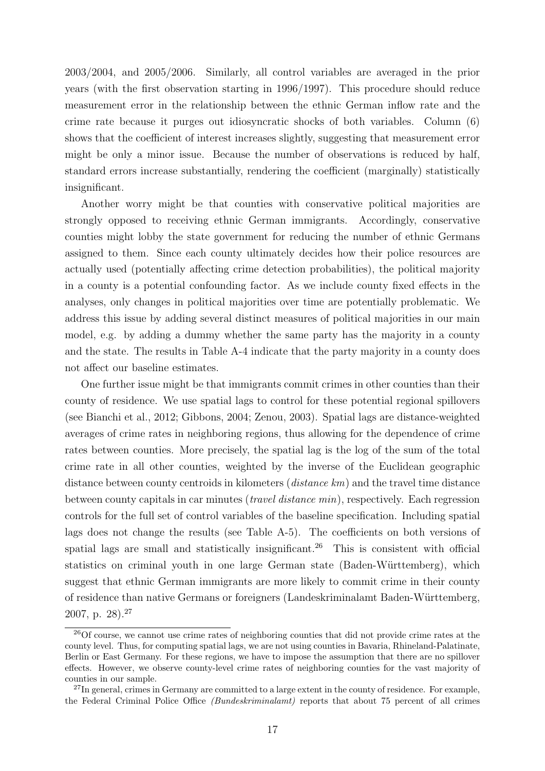2003/2004, and 2005/2006. Similarly, all control variables are averaged in the prior years (with the first observation starting in 1996/1997). This procedure should reduce measurement error in the relationship between the ethnic German inflow rate and the crime rate because it purges out idiosyncratic shocks of both variables. Column (6) shows that the coefficient of interest increases slightly, suggesting that measurement error might be only a minor issue. Because the number of observations is reduced by half, standard errors increase substantially, rendering the coefficient (marginally) statistically insignificant.

Another worry might be that counties with conservative political majorities are strongly opposed to receiving ethnic German immigrants. Accordingly, conservative counties might lobby the state government for reducing the number of ethnic Germans assigned to them. Since each county ultimately decides how their police resources are actually used (potentially affecting crime detection probabilities), the political majority in a county is a potential confounding factor. As we include county fixed effects in the analyses, only changes in political majorities over time are potentially problematic. We address this issue by adding several distinct measures of political majorities in our main model, e.g. by adding a dummy whether the same party has the majority in a county and the state. The results in Table A-4 indicate that the party majority in a county does not affect our baseline estimates.

One further issue might be that immigrants commit crimes in other counties than their county of residence. We use spatial lags to control for these potential regional spillovers (see Bianchi et al., 2012; Gibbons, 2004; Zenou, 2003). Spatial lags are distance-weighted averages of crime rates in neighboring regions, thus allowing for the dependence of crime rates between counties. More precisely, the spatial lag is the log of the sum of the total crime rate in all other counties, weighted by the inverse of the Euclidean geographic distance between county centroids in kilometers (distance km) and the travel time distance between county capitals in car minutes (*travel distance min*), respectively. Each regression controls for the full set of control variables of the baseline specification. Including spatial lags does not change the results (see Table A-5). The coefficients on both versions of spatial lags are small and statistically insignificant.<sup>26</sup> This is consistent with official statistics on criminal youth in one large German state (Baden-Württemberg), which suggest that ethnic German immigrants are more likely to commit crime in their county of residence than native Germans or foreigners (Landeskriminalamt Baden-Württemberg, 2007, p. 28).<sup>27</sup>

<sup>&</sup>lt;sup>26</sup>Of course, we cannot use crime rates of neighboring counties that did not provide crime rates at the county level. Thus, for computing spatial lags, we are not using counties in Bavaria, Rhineland-Palatinate, Berlin or East Germany. For these regions, we have to impose the assumption that there are no spillover effects. However, we observe county-level crime rates of neighboring counties for the vast majority of counties in our sample.

<sup>&</sup>lt;sup>27</sup>In general, crimes in Germany are committed to a large extent in the county of residence. For example, the Federal Criminal Police Office (Bundeskriminalamt) reports that about 75 percent of all crimes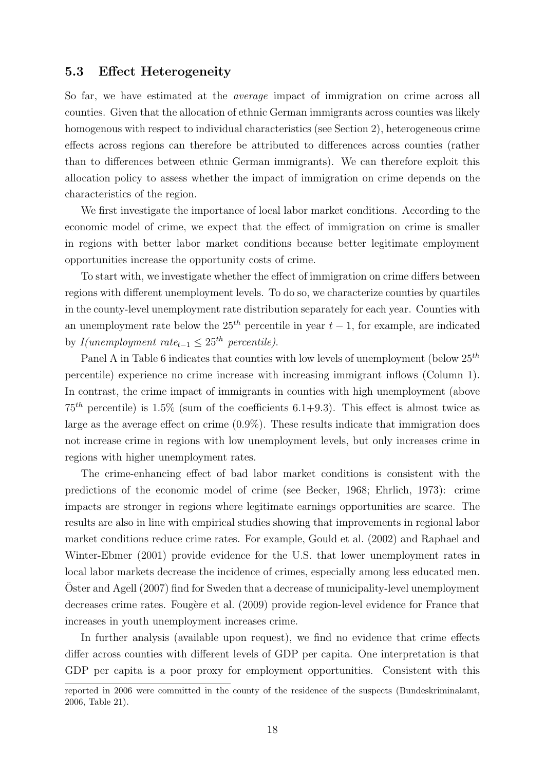#### 5.3 Effect Heterogeneity

So far, we have estimated at the average impact of immigration on crime across all counties. Given that the allocation of ethnic German immigrants across counties was likely homogenous with respect to individual characteristics (see Section 2), heterogeneous crime effects across regions can therefore be attributed to differences across counties (rather than to differences between ethnic German immigrants). We can therefore exploit this allocation policy to assess whether the impact of immigration on crime depends on the characteristics of the region.

We first investigate the importance of local labor market conditions. According to the economic model of crime, we expect that the effect of immigration on crime is smaller in regions with better labor market conditions because better legitimate employment opportunities increase the opportunity costs of crime.

To start with, we investigate whether the effect of immigration on crime differs between regions with different unemployment levels. To do so, we characterize counties by quartiles in the county-level unemployment rate distribution separately for each year. Counties with an unemployment rate below the 25<sup>th</sup> percentile in year  $t-1$ , for example, are indicated by I(unemployment rate<sub>t-1</sub>  $\leq 25^{th}$  percentile).

Panel A in Table 6 indicates that counties with low levels of unemployment (below  $25^{th}$ ) percentile) experience no crime increase with increasing immigrant inflows (Column 1). In contrast, the crime impact of immigrants in counties with high unemployment (above  $75<sup>th</sup>$  percentile) is 1.5% (sum of the coefficients 6.1+9.3). This effect is almost twice as large as the average effect on crime (0.9%). These results indicate that immigration does not increase crime in regions with low unemployment levels, but only increases crime in regions with higher unemployment rates.

The crime-enhancing effect of bad labor market conditions is consistent with the predictions of the economic model of crime (see Becker, 1968; Ehrlich, 1973): crime impacts are stronger in regions where legitimate earnings opportunities are scarce. The results are also in line with empirical studies showing that improvements in regional labor market conditions reduce crime rates. For example, Gould et al. (2002) and Raphael and Winter-Ebmer (2001) provide evidence for the U.S. that lower unemployment rates in local labor markets decrease the incidence of crimes, especially among less educated men. Oster and Agell (2007) find for Sweden that a decrease of municipality-level unemployment decreases crime rates. Fougère et al. (2009) provide region-level evidence for France that increases in youth unemployment increases crime.

In further analysis (available upon request), we find no evidence that crime effects differ across counties with different levels of GDP per capita. One interpretation is that GDP per capita is a poor proxy for employment opportunities. Consistent with this

reported in 2006 were committed in the county of the residence of the suspects (Bundeskriminalamt, 2006, Table 21).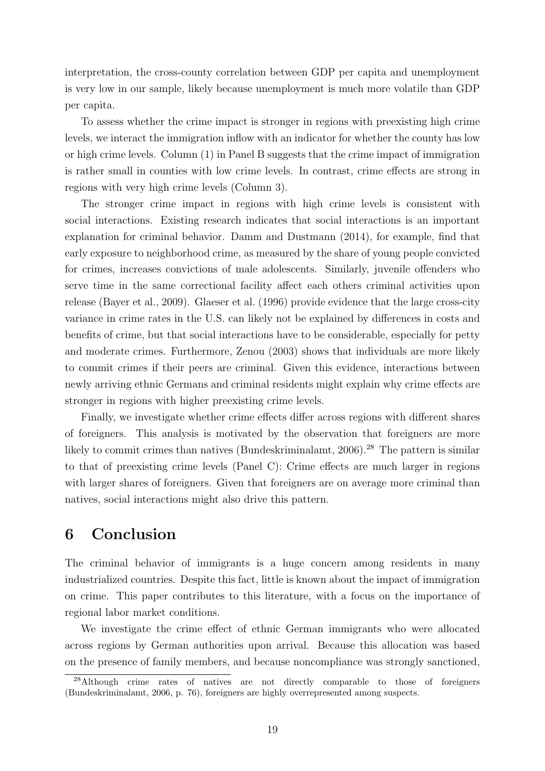interpretation, the cross-county correlation between GDP per capita and unemployment is very low in our sample, likely because unemployment is much more volatile than GDP per capita.

To assess whether the crime impact is stronger in regions with preexisting high crime levels, we interact the immigration inflow with an indicator for whether the county has low or high crime levels. Column (1) in Panel B suggests that the crime impact of immigration is rather small in counties with low crime levels. In contrast, crime effects are strong in regions with very high crime levels (Column 3).

The stronger crime impact in regions with high crime levels is consistent with social interactions. Existing research indicates that social interactions is an important explanation for criminal behavior. Damm and Dustmann (2014), for example, find that early exposure to neighborhood crime, as measured by the share of young people convicted for crimes, increases convictions of male adolescents. Similarly, juvenile offenders who serve time in the same correctional facility affect each others criminal activities upon release (Bayer et al., 2009). Glaeser et al. (1996) provide evidence that the large cross-city variance in crime rates in the U.S. can likely not be explained by differences in costs and benefits of crime, but that social interactions have to be considerable, especially for petty and moderate crimes. Furthermore, Zenou (2003) shows that individuals are more likely to commit crimes if their peers are criminal. Given this evidence, interactions between newly arriving ethnic Germans and criminal residents might explain why crime effects are stronger in regions with higher preexisting crime levels.

Finally, we investigate whether crime effects differ across regions with different shares of foreigners. This analysis is motivated by the observation that foreigners are more likely to commit crimes than natives (Bundeskriminalamt, 2006).<sup>28</sup> The pattern is similar to that of preexisting crime levels (Panel C): Crime effects are much larger in regions with larger shares of foreigners. Given that foreigners are on average more criminal than natives, social interactions might also drive this pattern.

# 6 Conclusion

The criminal behavior of immigrants is a huge concern among residents in many industrialized countries. Despite this fact, little is known about the impact of immigration on crime. This paper contributes to this literature, with a focus on the importance of regional labor market conditions.

We investigate the crime effect of ethnic German immigrants who were allocated across regions by German authorities upon arrival. Because this allocation was based on the presence of family members, and because noncompliance was strongly sanctioned,

<sup>28</sup>Although crime rates of natives are not directly comparable to those of foreigners (Bundeskriminalamt, 2006, p. 76), foreigners are highly overrepresented among suspects.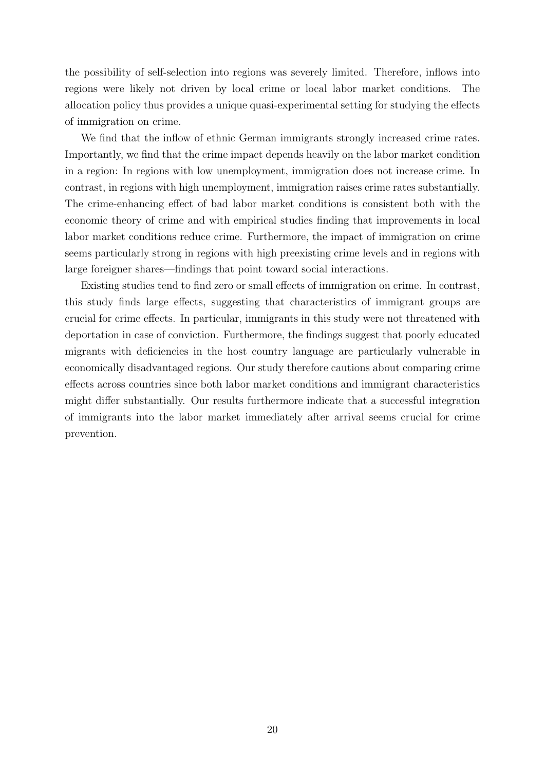the possibility of self-selection into regions was severely limited. Therefore, inflows into regions were likely not driven by local crime or local labor market conditions. The allocation policy thus provides a unique quasi-experimental setting for studying the effects of immigration on crime.

We find that the inflow of ethnic German immigrants strongly increased crime rates. Importantly, we find that the crime impact depends heavily on the labor market condition in a region: In regions with low unemployment, immigration does not increase crime. In contrast, in regions with high unemployment, immigration raises crime rates substantially. The crime-enhancing effect of bad labor market conditions is consistent both with the economic theory of crime and with empirical studies finding that improvements in local labor market conditions reduce crime. Furthermore, the impact of immigration on crime seems particularly strong in regions with high preexisting crime levels and in regions with large foreigner shares—findings that point toward social interactions.

Existing studies tend to find zero or small effects of immigration on crime. In contrast, this study finds large effects, suggesting that characteristics of immigrant groups are crucial for crime effects. In particular, immigrants in this study were not threatened with deportation in case of conviction. Furthermore, the findings suggest that poorly educated migrants with deficiencies in the host country language are particularly vulnerable in economically disadvantaged regions. Our study therefore cautions about comparing crime effects across countries since both labor market conditions and immigrant characteristics might differ substantially. Our results furthermore indicate that a successful integration of immigrants into the labor market immediately after arrival seems crucial for crime prevention.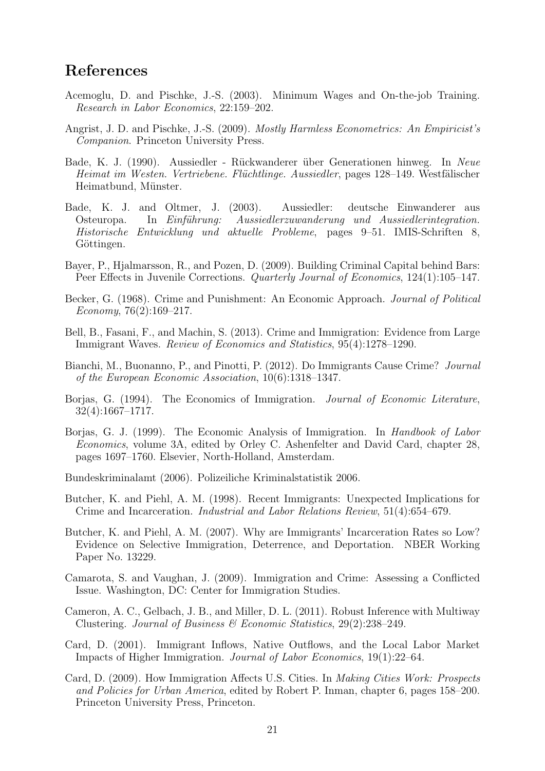# References

- Acemoglu, D. and Pischke, J.-S. (2003). Minimum Wages and On-the-job Training. Research in Labor Economics, 22:159–202.
- Angrist, J. D. and Pischke, J.-S. (2009). Mostly Harmless Econometrics: An Empiricist's Companion. Princeton University Press.
- Bade, K. J. (1990). Aussiedler Rückwanderer über Generationen hinweg. In Neue Heimat im Westen. Vertriebene. Flüchtlinge. Aussiedler, pages 128–149. Westfälischer Heimatbund, Münster.
- Bade, K. J. and Oltmer, J. (2003). Aussiedler: deutsche Einwanderer aus Osteuropa. In Einführung: Aussiedlerzuwanderung und Aussiedlerintegration. Historische Entwicklung und aktuelle Probleme, pages 9–51. IMIS-Schriften 8, Göttingen.
- Bayer, P., Hjalmarsson, R., and Pozen, D. (2009). Building Criminal Capital behind Bars: Peer Effects in Juvenile Corrections. Quarterly Journal of Economics, 124(1):105–147.
- Becker, G. (1968). Crime and Punishment: An Economic Approach. Journal of Political Economy,  $76(2):169-217$ .
- Bell, B., Fasani, F., and Machin, S. (2013). Crime and Immigration: Evidence from Large Immigrant Waves. Review of Economics and Statistics, 95(4):1278–1290.
- Bianchi, M., Buonanno, P., and Pinotti, P. (2012). Do Immigrants Cause Crime? Journal of the European Economic Association, 10(6):1318–1347.
- Borjas, G. (1994). The Economics of Immigration. Journal of Economic Literature, 32(4):1667–1717.
- Borjas, G. J. (1999). The Economic Analysis of Immigration. In Handbook of Labor Economics, volume 3A, edited by Orley C. Ashenfelter and David Card, chapter 28, pages 1697–1760. Elsevier, North-Holland, Amsterdam.
- Bundeskriminalamt (2006). Polizeiliche Kriminalstatistik 2006.
- Butcher, K. and Piehl, A. M. (1998). Recent Immigrants: Unexpected Implications for Crime and Incarceration. Industrial and Labor Relations Review, 51(4):654–679.
- Butcher, K. and Piehl, A. M. (2007). Why are Immigrants' Incarceration Rates so Low? Evidence on Selective Immigration, Deterrence, and Deportation. NBER Working Paper No. 13229.
- Camarota, S. and Vaughan, J. (2009). Immigration and Crime: Assessing a Conflicted Issue. Washington, DC: Center for Immigration Studies.
- Cameron, A. C., Gelbach, J. B., and Miller, D. L. (2011). Robust Inference with Multiway Clustering. Journal of Business & Economic Statistics,  $29(2)$ :  $238-249$ .
- Card, D. (2001). Immigrant Inflows, Native Outflows, and the Local Labor Market Impacts of Higher Immigration. Journal of Labor Economics, 19(1):22–64.
- Card, D. (2009). How Immigration Affects U.S. Cities. In Making Cities Work: Prospects and Policies for Urban America, edited by Robert P. Inman, chapter 6, pages 158–200. Princeton University Press, Princeton.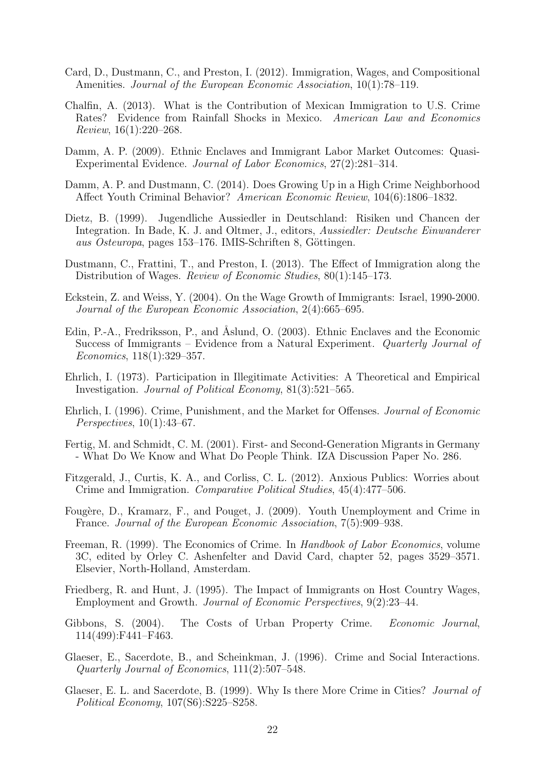- Card, D., Dustmann, C., and Preston, I. (2012). Immigration, Wages, and Compositional Amenities. Journal of the European Economic Association, 10(1):78–119.
- Chalfin, A. (2013). What is the Contribution of Mexican Immigration to U.S. Crime Rates? Evidence from Rainfall Shocks in Mexico. American Law and Economics Review, 16(1):220–268.
- Damm, A. P. (2009). Ethnic Enclaves and Immigrant Labor Market Outcomes: Quasi-Experimental Evidence. Journal of Labor Economics, 27(2):281–314.
- Damm, A. P. and Dustmann, C. (2014). Does Growing Up in a High Crime Neighborhood Affect Youth Criminal Behavior? American Economic Review, 104(6):1806–1832.
- Dietz, B. (1999). Jugendliche Aussiedler in Deutschland: Risiken und Chancen der Integration. In Bade, K. J. and Oltmer, J., editors, Aussiedler: Deutsche Einwanderer aus Osteuropa, pages 153–176. IMIS-Schriften 8, Göttingen.
- Dustmann, C., Frattini, T., and Preston, I. (2013). The Effect of Immigration along the Distribution of Wages. Review of Economic Studies, 80(1):145–173.
- Eckstein, Z. and Weiss, Y. (2004). On the Wage Growth of Immigrants: Israel, 1990-2000. Journal of the European Economic Association, 2(4):665–695.
- Edin, P.-A., Fredriksson, P., and Åslund, O. (2003). Ethnic Enclaves and the Economic Success of Immigrants – Evidence from a Natural Experiment. Quarterly Journal of Economics, 118(1):329–357.
- Ehrlich, I. (1973). Participation in Illegitimate Activities: A Theoretical and Empirical Investigation. Journal of Political Economy, 81(3):521–565.
- Ehrlich, I. (1996). Crime, Punishment, and the Market for Offenses. Journal of Economic Perspectives, 10(1):43–67.
- Fertig, M. and Schmidt, C. M. (2001). First- and Second-Generation Migrants in Germany - What Do We Know and What Do People Think. IZA Discussion Paper No. 286.
- Fitzgerald, J., Curtis, K. A., and Corliss, C. L. (2012). Anxious Publics: Worries about Crime and Immigration. Comparative Political Studies, 45(4):477–506.
- Fougère, D., Kramarz, F., and Pouget, J. (2009). Youth Unemployment and Crime in France. Journal of the European Economic Association, 7(5):909–938.
- Freeman, R. (1999). The Economics of Crime. In Handbook of Labor Economics, volume 3C, edited by Orley C. Ashenfelter and David Card, chapter 52, pages 3529–3571. Elsevier, North-Holland, Amsterdam.
- Friedberg, R. and Hunt, J. (1995). The Impact of Immigrants on Host Country Wages, Employment and Growth. Journal of Economic Perspectives, 9(2):23–44.
- Gibbons, S. (2004). The Costs of Urban Property Crime. Economic Journal, 114(499):F441–F463.
- Glaeser, E., Sacerdote, B., and Scheinkman, J. (1996). Crime and Social Interactions. Quarterly Journal of Economics, 111(2):507–548.
- Glaeser, E. L. and Sacerdote, B. (1999). Why Is there More Crime in Cities? Journal of Political Economy, 107(S6):S225–S258.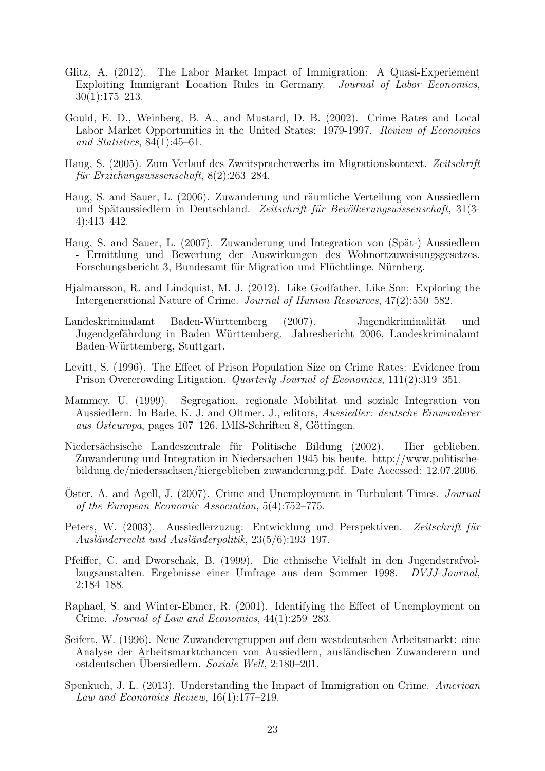- Glitz, A. (2012). The Labor Market Impact of Immigration: A Quasi-Experiement Exploiting Immigrant Location Rules in Germany. Journal of Labor Economics, 30(1):175–213.
- Gould, E. D., Weinberg, B. A., and Mustard, D. B. (2002). Crime Rates and Local Labor Market Opportunities in the United States: 1979-1997. Review of Economics and Statistics, 84(1):45–61.
- Haug, S. (2005). Zum Verlauf des Zweitspracherwerbs im Migrationskontext. Zeitschrift für Erziehungswissenschaft,  $8(2):263-284$ .
- Haug, S. and Sauer, L. (2006). Zuwanderung und räumliche Verteilung von Aussiedlern und Spätaussiedlern in Deutschland. Zeitschrift für Bevölkerungswissenschaft, 31(3-4):413–442.
- Haug, S. and Sauer, L. (2007). Zuwanderung und Integration von (Spät-) Aussiedlern - Ermittlung und Bewertung der Auswirkungen des Wohnortzuweisungsgesetzes. Forschungsbericht 3, Bundesamt für Migration und Flüchtlinge, Nürnberg.
- Hjalmarsson, R. and Lindquist, M. J. (2012). Like Godfather, Like Son: Exploring the Intergenerational Nature of Crime. Journal of Human Resources, 47(2):550–582.
- Landeskriminalamt Baden-Württemberg (2007). Jugendkriminalität und Jugendgefährdung in Baden Württemberg. Jahresbericht 2006, Landeskriminalamt Baden-Württemberg, Stuttgart.
- Levitt, S. (1996). The Effect of Prison Population Size on Crime Rates: Evidence from Prison Overcrowding Litigation. Quarterly Journal of Economics, 111(2):319–351.
- Mammey, U. (1999). Segregation, regionale Mobilitat und soziale Integration von Aussiedlern. In Bade, K. J. and Oltmer, J., editors, Aussiedler: deutsche Einwanderer aus Osteuropa, pages 107–126. IMIS-Schriften 8, Göttingen.
- Niedersächsische Landeszentrale für Politische Bildung (2002). Hier geblieben. Zuwanderung und Integration in Niedersachen 1945 bis heute. http://www.politischebildung.de/niedersachsen/hiergeblieben zuwanderung.pdf. Date Accessed: 12.07.2006.
- Oster, A. and Agell, J. (2007). Crime and Unemployment in Turbulent Times. Journal of the European Economic Association, 5(4):752–775.
- Peters, W. (2003). Aussiedlerzuzug: Entwicklung und Perspektiven. Zeitschrift für Ausländerrecht und Ausländerpolitik, 23(5/6):193-197.
- Pfeiffer, C. and Dworschak, B. (1999). Die ethnische Vielfalt in den Jugendstrafvollzugsanstalten. Ergebnisse einer Umfrage aus dem Sommer 1998. DVJJ-Journal, 2:184–188.
- Raphael, S. and Winter-Ebmer, R. (2001). Identifying the Effect of Unemployment on Crime. Journal of Law and Economics, 44(1):259–283.
- Seifert, W. (1996). Neue Zuwanderergruppen auf dem westdeutschen Arbeitsmarkt: eine Analyse der Arbeitsmarktchancen von Aussiedlern, ausländischen Zuwanderern und ostdeutschen Ubersiedlern. Soziale Welt, 2:180-201.
- Spenkuch, J. L. (2013). Understanding the Impact of Immigration on Crime. American Law and Economics Review, 16(1):177–219.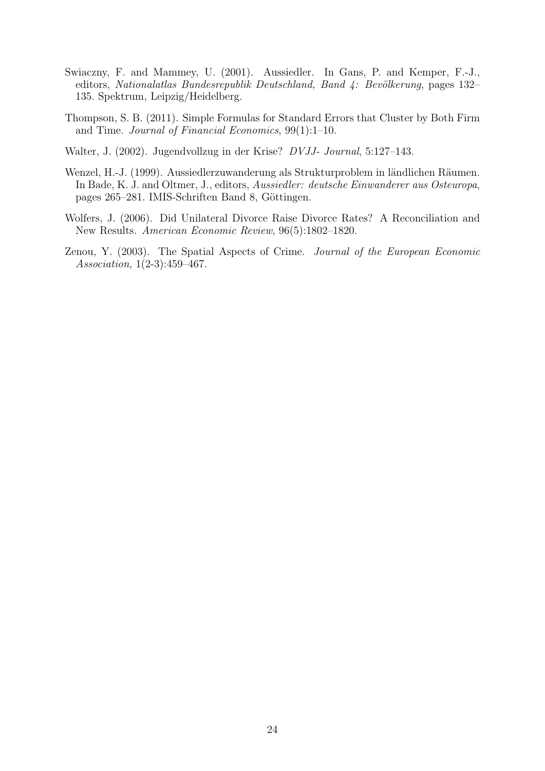- Swiaczny, F. and Mammey, U. (2001). Aussiedler. In Gans, P. and Kemper, F.-J., editors, Nationalatlas Bundesrepublik Deutschland, Band 4: Bevölkerung, pages 132– 135. Spektrum, Leipzig/Heidelberg.
- Thompson, S. B. (2011). Simple Formulas for Standard Errors that Cluster by Both Firm and Time. Journal of Financial Economics, 99(1):1–10.
- Walter, J. (2002). Jugendvollzug in der Krise? DVJJ- Journal, 5:127–143.
- Wenzel, H.-J. (1999). Aussiedlerzuwanderung als Strukturproblem in ländlichen Räumen. In Bade, K. J. and Oltmer, J., editors, Aussiedler: deutsche Einwanderer aus Osteuropa, pages 265–281. IMIS-Schriften Band 8, Göttingen.
- Wolfers, J. (2006). Did Unilateral Divorce Raise Divorce Rates? A Reconciliation and New Results. American Economic Review, 96(5):1802–1820.
- Zenou, Y. (2003). The Spatial Aspects of Crime. Journal of the European Economic Association, 1(2-3):459–467.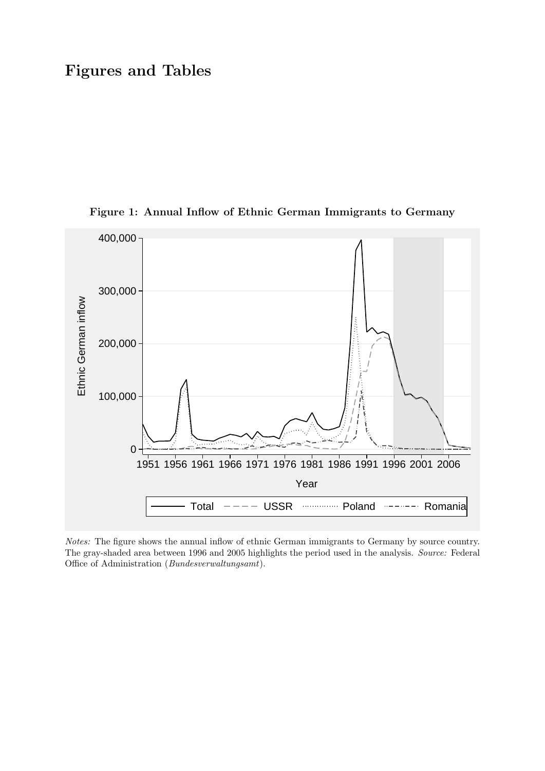# Figures and Tables



Figure 1: Annual Inflow of Ethnic German Immigrants to Germany

Notes: The figure shows the annual inflow of ethnic German immigrants to Germany by source country. The gray-shaded area between 1996 and 2005 highlights the period used in the analysis. Source: Federal Office of Administration (Bundesverwaltungsamt).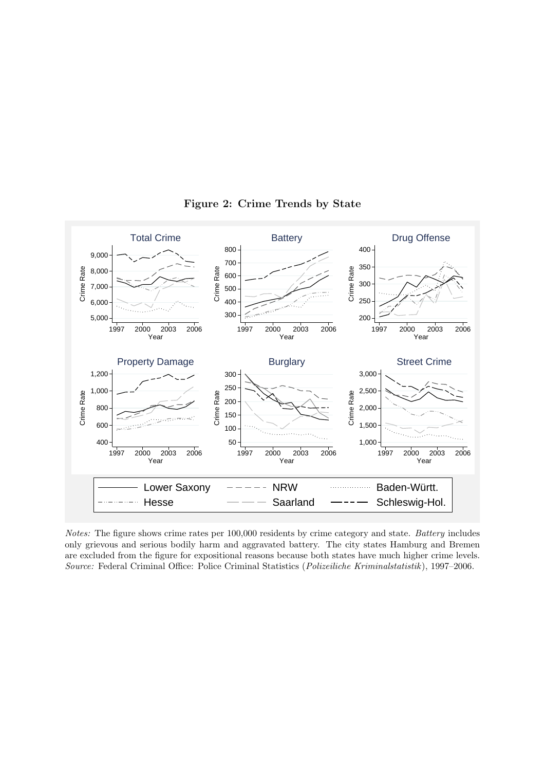

Figure 2: Crime Trends by State

Notes: The figure shows crime rates per 100,000 residents by crime category and state. Battery includes only grievous and serious bodily harm and aggravated battery. The city states Hamburg and Bremen are excluded from the figure for expositional reasons because both states have much higher crime levels. Source: Federal Criminal Office: Police Criminal Statistics (Polizeiliche Kriminalstatistik ), 1997–2006.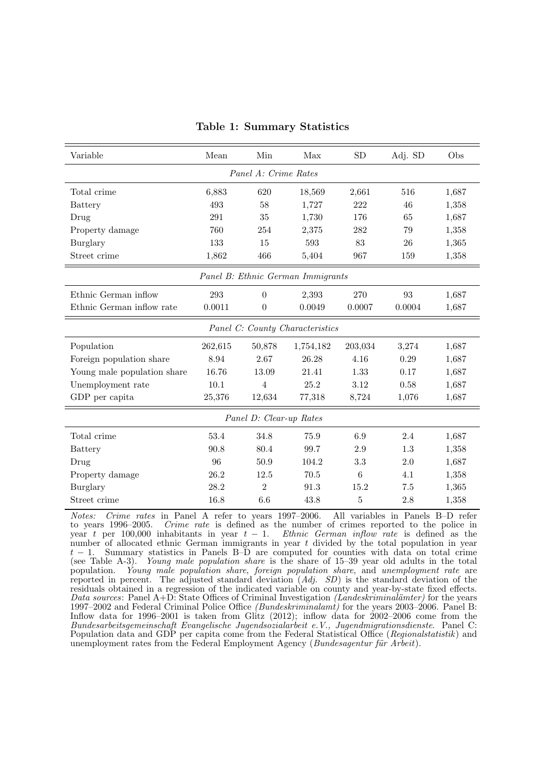| Variable                    | Mean                              | Min                     | Max       | <b>SD</b> | Adj. SD | Obs   |  |  |  |  |
|-----------------------------|-----------------------------------|-------------------------|-----------|-----------|---------|-------|--|--|--|--|
| Panel A: Crime Rates        |                                   |                         |           |           |         |       |  |  |  |  |
| Total crime                 | 6,883                             | 620                     | 18,569    | 2,661     | 516     | 1,687 |  |  |  |  |
| <b>Battery</b>              | 493<br>1,727<br>222<br>58<br>46   |                         |           |           |         |       |  |  |  |  |
| Drug                        | 291                               | 35                      | 1,730     | 176       | 65      | 1,687 |  |  |  |  |
| Property damage             | 760                               | 254                     | 2,375     | 282       | 79      | 1,358 |  |  |  |  |
| Burglary                    | 133                               | 15                      | 593       | 83        | 26      | 1,365 |  |  |  |  |
| Street crime                | 1,862                             | 466                     | 5,404     | 967       | 159     | 1,358 |  |  |  |  |
|                             | Panel B: Ethnic German Immigrants |                         |           |           |         |       |  |  |  |  |
| Ethnic German inflow        | 293                               | $\overline{0}$          | 2,393     | 270       | 93      | 1,687 |  |  |  |  |
| Ethnic German inflow rate   | 0.0011                            | $\theta$                | 0.0049    | 0.0007    | 0.0004  | 1,687 |  |  |  |  |
|                             | Panel C: County Characteristics   |                         |           |           |         |       |  |  |  |  |
| Population                  | 262,615                           | 50,878                  | 1,754,182 | 203,034   | 3,274   | 1,687 |  |  |  |  |
| Foreign population share    | 8.94                              | 2.67                    | 26.28     | 4.16      | 0.29    | 1,687 |  |  |  |  |
| Young male population share | 16.76                             | 13.09                   | 21.41     | 1.33      | 0.17    | 1,687 |  |  |  |  |
| Unemployment rate           | 10.1                              | $\overline{4}$          | 25.2      | 3.12      | 0.58    | 1,687 |  |  |  |  |
| GDP per capita              | 25,376                            | 12,634                  | 77,318    | 8,724     | 1,076   | 1,687 |  |  |  |  |
|                             |                                   | Panel D: Clear-up Rates |           |           |         |       |  |  |  |  |
| Total crime                 | 53.4                              | 34.8                    | 75.9      | 6.9       | 2.4     | 1,687 |  |  |  |  |
| <b>Battery</b>              | 90.8                              | 80.4                    | 99.7      | 2.9       | 1.3     | 1,358 |  |  |  |  |
| Drug                        | 96                                | 50.9                    | 104.2     | 3.3       | 2.0     | 1,687 |  |  |  |  |
| Property damage             | 26.2                              | 12.5                    | 70.5      | 6         | 4.1     | 1,358 |  |  |  |  |
| Burglary                    | 28.2                              | $\overline{2}$          | 91.3      | 15.2      | 7.5     | 1,365 |  |  |  |  |
| Street crime                | 16.8                              | 6.6                     | 43.8      | 5         | 2.8     | 1,358 |  |  |  |  |

Table 1: Summary Statistics

Notes: Crime rates in Panel A refer to years 1997–2006. All variables in Panels B–D refer to years 1996–2005. Crime rate is defined as the number of crimes reported to the police in year t per 100,000 inhabitants in year  $t - 1$ . Ethnic German inflow rate is defined as the number of allocated ethnic German immigrants in year  $t$  divided by the total population in year  $t-1$ . Summary statistics in Panels B–D are computed for counties with data on total crime (see Table A-3). Young male population share is the share of 15–39 year old adults in the total population. Young male population share, foreign population share, and unemployment rate are reported in percent. The adjusted standard deviation  $(Adj. SD)$  is the standard deviation of the residuals obtained in a regression of the indicated variable on county and year-by-state fixed effects. Data sources: Panel  $A+D$ : State Offices of Criminal Investigation (Landeskriminalämter) for the years 1997–2002 and Federal Criminal Police Office (Bundeskriminalamt) for the years 2003–2006. Panel B: Inflow data for 1996–2001 is taken from Glitz (2012); inflow data for 2002–2006 come from the Bundesarbeitsgemeinschaft Evangelische Jugendsozialarbeit e.V., Jugendmigrationsdienste. Panel C: Population data and GDP per capita come from the Federal Statistical Office (Regionalstatistik) and unemployment rates from the Federal Employment Agency ( $Bundesagentur für'Arbeit$ ).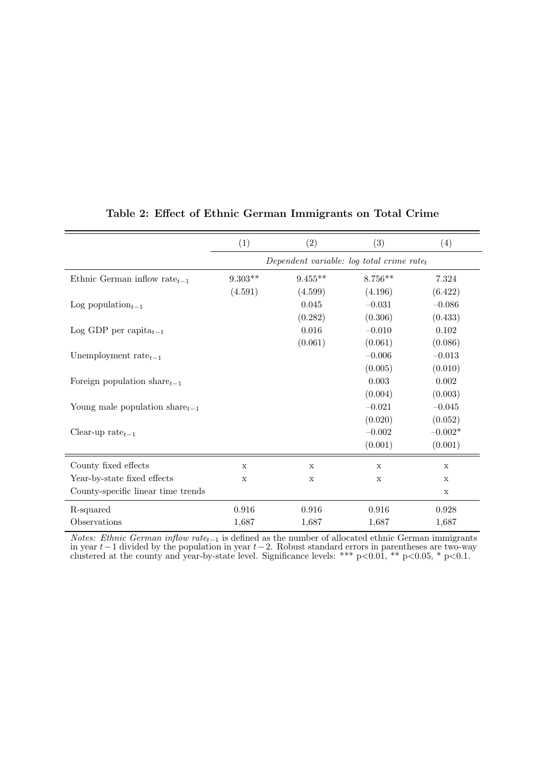|                                      | (1)                                                   | (2)         | (3)         | (4)         |  |  |  |
|--------------------------------------|-------------------------------------------------------|-------------|-------------|-------------|--|--|--|
|                                      | Dependent variable: log total crime rate <sub>t</sub> |             |             |             |  |  |  |
| Ethnic German inflow rate $_{t-1}$   | $9.303**$                                             | $9.455**$   | $8.756**$   | 7.324       |  |  |  |
|                                      | (4.591)                                               | (4.599)     | (4.196)     | (6.422)     |  |  |  |
| Log population $_{t-1}$              |                                                       | 0.045       | $-0.031$    | $-0.086$    |  |  |  |
|                                      |                                                       | (0.282)     | (0.306)     | (0.433)     |  |  |  |
| Log GDP per capita $_{t-1}$          |                                                       | 0.016       | $-0.010$    | 0.102       |  |  |  |
|                                      |                                                       | (0.061)     | (0.061)     | (0.086)     |  |  |  |
| Unemployment rate $_{t-1}$           |                                                       |             | $-0.006$    | $-0.013$    |  |  |  |
|                                      |                                                       |             | (0.005)     | (0.010)     |  |  |  |
| Foreign population share $_{t-1}$    |                                                       |             | 0.003       | 0.002       |  |  |  |
|                                      |                                                       |             | (0.004)     | (0.003)     |  |  |  |
| Young male population share $_{t-1}$ |                                                       |             | $-0.021$    | $-0.045$    |  |  |  |
|                                      |                                                       |             | (0.020)     | (0.052)     |  |  |  |
| Clear-up rate $_{t-1}$               |                                                       |             | $-0.002$    | $-0.002*$   |  |  |  |
|                                      |                                                       |             | (0.001)     | (0.001)     |  |  |  |
| County fixed effects                 | $\mathbf x$                                           | X           | $\mathbf x$ | $\mathbf x$ |  |  |  |
| Year-by-state fixed effects          | X                                                     | $\mathbf X$ | $\mathbf X$ | X           |  |  |  |
| County-specific linear time trends   |                                                       |             |             | $\mathbf x$ |  |  |  |
| R-squared                            | 0.916                                                 | 0.916       | 0.916       | 0.928       |  |  |  |
| Observations                         | 1,687                                                 | 1,687       | 1,687       | 1,687       |  |  |  |

### Table 2: Effect of Ethnic German Immigrants on Total Crime

*Notes: Ethnic German inflow rate*<sub> $t-1$ </sub> is defined as the number of allocated ethnic German immigrants in year  $t-1$  divided by the population in year  $t-2$ . Robust standard errors in parentheses are two-way clustered at the county and year-by-state level. Significance levels: \*\*\*  $p<0.01$ , \*\*  $p<0.05$ , \*  $p<0.1$ .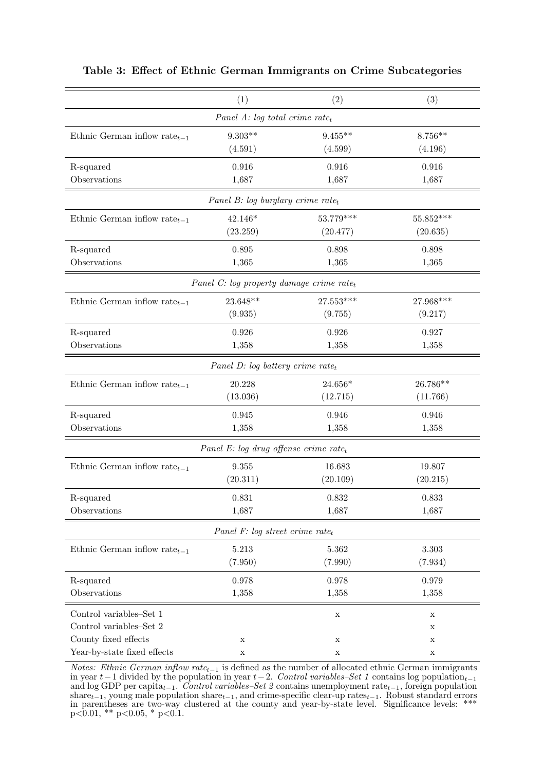|                                    | (1)                                           | (2)         | (3)         |
|------------------------------------|-----------------------------------------------|-------------|-------------|
|                                    | Panel A: log total crime rate <sub>t</sub>    |             |             |
| Ethnic German inflow rate $_{t-1}$ | $9.303**$                                     | $9.455**$   | $8.756**$   |
|                                    | (4.591)                                       | (4.599)     | (4.196)     |
| R-squared                          | 0.916                                         | 0.916       | 0.916       |
| Observations                       | 1,687                                         | 1,687       | 1,687       |
|                                    | Panel B: log burglary crime rate <sub>t</sub> |             |             |
| Ethnic German inflow rate $_{t-1}$ | 42.146*                                       | 53.779***   | $55.852***$ |
|                                    | (23.259)                                      | (20.477)    | (20.635)    |
| R-squared                          | 0.895                                         | 0.898       | 0.898       |
| Observations                       | 1,365                                         | 1,365       | 1,365       |
|                                    | Panel C: log property damage crime $rate_t$   |             |             |
| Ethnic German inflow rate $_{t-1}$ | 23.648**                                      | $27.553***$ | $27.968***$ |
|                                    | (9.935)                                       | (9.755)     | (9.217)     |
| R-squared                          | 0.926                                         | 0.926       | 0.927       |
| Observations                       | 1,358                                         | 1,358       | 1,358       |
|                                    | Panel D: log battery crime rate <sub>t</sub>  |             |             |
| Ethnic German inflow rate $_{t-1}$ | 20.228                                        | $24.656*$   | 26.786**    |
|                                    | (13.036)                                      | (12.715)    | (11.766)    |
| R-squared                          | 0.945                                         | 0.946       | 0.946       |
| Observations                       | 1,358                                         | 1,358       | 1,358       |
|                                    | Panel E: log drug offense crime $rate_t$      |             |             |
| Ethnic German inflow rate $_{t-1}$ | 9.355                                         | 16.683      | 19.807      |
|                                    | (20.311)                                      | (20.109)    | (20.215)    |
| R-squared                          | 0.831                                         | 0.832       | 0.833       |
| Observations                       | 1,687                                         | 1,687       | 1,687       |
|                                    | Panel F: log street crime rate <sub>t</sub>   |             |             |
| Ethnic German inflow rate $_{t-1}$ | 5.213                                         | 5.362       | 3.303       |
|                                    | (7.950)                                       | (7.990)     | (7.934)     |
| R-squared                          | 0.978                                         | 0.978       | 0.979       |
| Observations                       | 1,358                                         | 1,358       | 1,358       |
| Control variables-Set 1            |                                               | $\mathbf X$ | $\mathbf X$ |
| Control variables-Set 2            |                                               |             | $\mathbf X$ |
| County fixed effects               | $\mathbf X$                                   | х           | х           |
| Year-by-state fixed effects        | $\mathbf X$                                   | $\mathbf X$ | $\mathbf X$ |

#### Table 3: Effect of Ethnic German Immigrants on Crime Subcategories

*Notes: Ethnic German inflow rate<sub>t−1</sub>* is defined as the number of allocated ethnic German immigrants in year  $t-1$  divided by the population in year  $t-2$ . Control variables–Set 1 contains log population<sub>t-1</sub> and log GDP per capita<sub>t−1</sub>. Control variables–Set 2 contains unemployment rate<sub>t−1</sub>, foreign population  $\text{share}_{t-1}$ , young male population share $_{t-1}$ , and crime-specific clear-up rates $_{t-1}$ . Robust standard errors in parentheses are two-way clustered at the county and year-by-state level. Significance levels: \*\*\*  $p<0.01$ , \*\*  $p<0.05$ , \*  $p<0.1$ .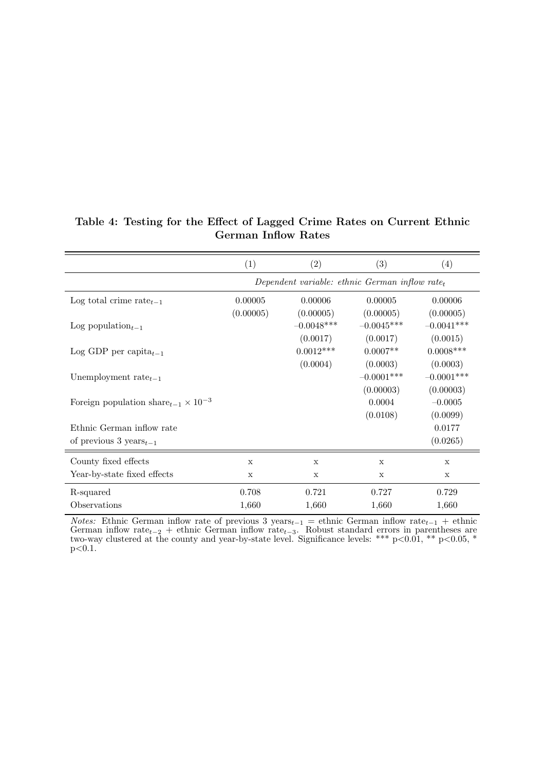|  |  | Table 4: Testing for the Effect of Lagged Crime Rates on Current Ethnic |  |  |  |
|--|--|-------------------------------------------------------------------------|--|--|--|
|  |  | <b>German Inflow Rates</b>                                              |  |  |  |

|                                                  | (1)                                               | (2)          | $\left( 3\right)$        | (4)                       |  |  |  |  |
|--------------------------------------------------|---------------------------------------------------|--------------|--------------------------|---------------------------|--|--|--|--|
|                                                  | Dependent variable: ethnic German inflow $rate_t$ |              |                          |                           |  |  |  |  |
| Log total crime rate $_{t-1}$                    | 0.00005                                           | 0.00006      | 0.00005                  | 0.00006                   |  |  |  |  |
|                                                  | (0.00005)                                         | (0.00005)    | (0.00005)                | (0.00005)                 |  |  |  |  |
| Log population <sub><math>t-1</math></sub>       |                                                   | $-0.0048***$ | $-0.0045***$             | $-0.0041***$              |  |  |  |  |
|                                                  |                                                   | (0.0017)     | (0.0017)                 | (0.0015)                  |  |  |  |  |
| Log GDP per capita $_{t-1}$                      |                                                   | $0.0012***$  | $0.0007**$               | $0.0008***$               |  |  |  |  |
|                                                  |                                                   | (0.0004)     | (0.0003)<br>$-0.0001***$ | (0.0003)                  |  |  |  |  |
| Unemployment rate $_{t-1}$                       |                                                   |              | (0.00003)                | $-0.0001***$<br>(0.00003) |  |  |  |  |
| Foreign population share $_{t-1} \times 10^{-3}$ |                                                   |              | 0.0004                   | $-0.0005$                 |  |  |  |  |
|                                                  |                                                   |              | (0.0108)                 | (0.0099)                  |  |  |  |  |
| Ethnic German inflow rate                        |                                                   |              |                          | 0.0177                    |  |  |  |  |
| of previous 3 years $_{t-1}$                     |                                                   |              |                          | (0.0265)                  |  |  |  |  |
| County fixed effects                             | $\mathbf x$                                       | X            | $\mathbf x$              | X                         |  |  |  |  |
| Year-by-state fixed effects                      | X                                                 | X            | X                        | X                         |  |  |  |  |
| R-squared                                        | 0.708                                             | 0.721        | 0.727                    | 0.729                     |  |  |  |  |
| Observations                                     | 1,660                                             | 1,660        | 1,660                    | 1,660                     |  |  |  |  |

*Notes:* Ethnic German inflow rate of previous 3 years $_{t-1}$  = ethnic German inflow rate $_{t-1}$  + ethnic German inflow rate<sub>t−2</sub> + ethnic German inflow rate<sub>t−3</sub>. Robust standard errors in parentheses are two-way clustered at the county and year-by-state level. Significance levels: \*\*\*  $p<0.01$ , \*\*  $p<0.05$ , \*  $p<0.1$ .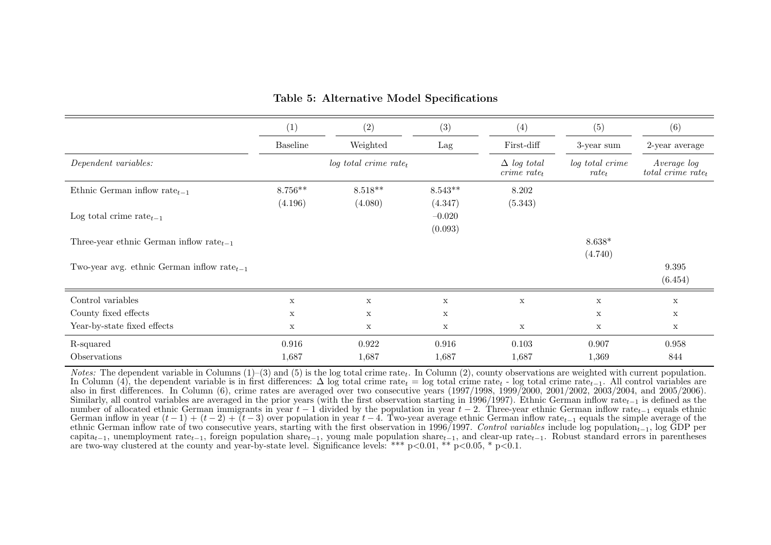|                                                  | (1)             | (2)                                 | (3)         | (4)                                           | (5)                         | (6)                                             |
|--------------------------------------------------|-----------------|-------------------------------------|-------------|-----------------------------------------------|-----------------------------|-------------------------------------------------|
|                                                  | <b>Baseline</b> | Weighted                            | Lag         | First-diff                                    | 3-year sum                  | 2-year average                                  |
| Dependent variables:                             |                 | $log$ total crime rate <sub>t</sub> |             | $\Delta$ log total<br>$\emph{crine rate}_{t}$ | log total crime<br>$rate_t$ | Average log<br>$total \, \, crime \, \, rate_t$ |
| Ethnic German inflow rate $_{t-1}$               | $8.756**$       | $8.518**$                           | $8.543**$   | 8.202                                         |                             |                                                 |
|                                                  | (4.196)         | (4.080)                             | (4.347)     | (5.343)                                       |                             |                                                 |
| Log total crime rate $_{t-1}$                    |                 |                                     | $-0.020$    |                                               |                             |                                                 |
|                                                  |                 |                                     | (0.093)     |                                               |                             |                                                 |
| Three-year ethnic German inflow rate $_{t-1}$    |                 |                                     |             |                                               | $8.638*$                    |                                                 |
|                                                  |                 |                                     |             |                                               | (4.740)                     |                                                 |
| Two-year avg. ethnic German inflow rate $_{t-1}$ |                 |                                     |             |                                               |                             | 9.395                                           |
|                                                  |                 |                                     |             |                                               |                             | (6.454)                                         |
| Control variables                                | X               | $\mathbf X$                         | $\mathbf X$ | $\mathbf X$                                   | $\mathbf x$                 | $\mathbf X$                                     |
| County fixed effects                             | X               | $\mathbf x$                         | X           |                                               | $\mathbf x$                 | $\mathbf X$                                     |
| Year-by-state fixed effects                      | X               | $\mathbf x$                         | X           | $\mathbf X$                                   | $\mathbf x$                 | $\mathbf X$                                     |
| R-squared                                        | 0.916           | 0.922                               | 0.916       | 0.103                                         | 0.907                       | 0.958                                           |
| Observations                                     | 1,687           | 1,687                               | 1,687       | 1,687                                         | 1,369                       | 844                                             |

#### Table 5: Alternative Model Specifications

*Notes:* The dependent variable in Columns  $(1)$ – $(3)$  and  $(5)$  is the log total crime rate<sub>t</sub>. In Column  $(2)$ , county observations are weighted with current population. In Column (4), the dependent variable is in first differences:  $\Delta$  log total crime rate<sub>t</sub> = log total crime rate<sub>t</sub> - log total crime rate<sub>t-1</sub>. All control variables are also in first differences. In Column (6), crime rates are averaged over two consecutive years (1997/1998, 1999/2000, 2001/2002, 2003/2004, and 2005/2006).Similarly, all control variables are averaged in the prior years (with the first observation starting in 1996/1997). Ethnic German inflow rate<sub>t-1</sub> is defined as the number of allocated ethnic German immigrants in year  $t-1$  divided by the population in year  $t-2$ . Three-year ethnic German inflow rate<sub>t-1</sub> equals ethnic German inflow rate  $t-1$  equals the simple average of the German inflow in year  $(t-1) + (t-2) + (t-3)$  over population in year  $t-4$ . Two-year average ethnic German inflow rate<sub>t-1</sub> equals the simple average of the strip average of the simple average of the simple average of the sim ethnic German inflow rate of two consecutive years, starting with the first observation in 1996/1997. Control variables include log population<sub>t−1</sub>, log GDP per capita<sub>t−1</sub>, unemployment rate<sub>t−1</sub>, foreign population share<sub>t−1</sub>, young male population share<sub>t</sub><sup>−1</sup>, and clear-up rate<sub>t−1</sub>. Robust standard errors in parentheses are two-way clustered at the county and year-by-state level. Significance levels: \*\*\* p<0.01, \*\* p<0.05, \* p<0.1.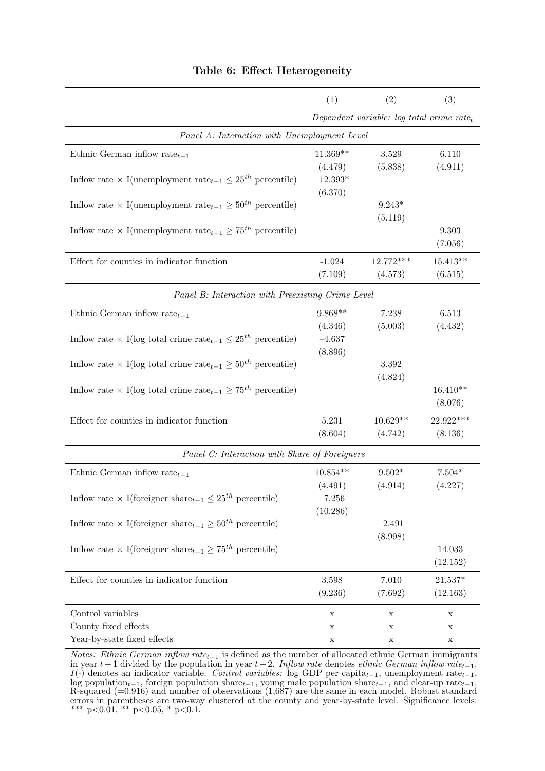|                                                                                                | (1)        | (2)                                                   | (3)         |
|------------------------------------------------------------------------------------------------|------------|-------------------------------------------------------|-------------|
|                                                                                                |            | Dependent variable: log total crime rate <sub>t</sub> |             |
| Panel A: Interaction with Unemployment Level                                                   |            |                                                       |             |
| Ethnic German inflow rate $_{t-1}$                                                             | $11.369**$ | 3.529                                                 | 6.110       |
|                                                                                                | (4.479)    | (5.838)                                               | (4.911)     |
| Inflow rate $\times$ I(unemployment rate <sub>t-1</sub> $\leq 25^{th}$ percentile)             | $-12.393*$ |                                                       |             |
|                                                                                                | (6.370)    |                                                       |             |
| Inflow rate $\times$ I(unemployment rate <sub>t-1</sub> $\geq$ 50 <sup>th</sup> percentile)    |            | $9.243*$                                              |             |
|                                                                                                |            | (5.119)                                               |             |
| Inflow rate $\times$ I(unemployment rate <sub>t-1</sub> $\geq$ 75 <sup>th</sup> percentile)    |            |                                                       | 9.303       |
|                                                                                                |            |                                                       | (7.056)     |
| Effect for counties in indicator function                                                      | $-1.024$   | $12.772***$                                           | $15.413**$  |
|                                                                                                | (7.109)    | (4.573)                                               | (6.515)     |
| Panel B: Interaction with Preexisting Crime Level                                              |            |                                                       |             |
| Ethnic German inflow rate $_{t-1}$                                                             | $9.868**$  | 7.238                                                 | 6.513       |
|                                                                                                | (4.346)    | (5.003)                                               | (4.432)     |
| Inflow rate $\times$ I(log total crime rate <sub>t-1</sub> $\leq 25^{th}$ percentile)          | $-4.637$   |                                                       |             |
|                                                                                                | (8.896)    |                                                       |             |
| Inflow rate $\times$ I(log total crime rate <sub>t-1</sub> $\geq$ 50 <sup>th</sup> percentile) |            | $3.392\,$                                             |             |
|                                                                                                |            | (4.824)                                               |             |
| Inflow rate $\times$ I(log total crime rate <sub>t-1</sub> $\geq$ 75 <sup>th</sup> percentile) |            |                                                       | $16.410**$  |
|                                                                                                |            |                                                       | (8.076)     |
| Effect for counties in indicator function                                                      | 5.231      | $10.629**$                                            | 22.922***   |
|                                                                                                | (8.604)    | (4.742)                                               | (8.136)     |
| Panel C: Interaction with Share of Foreigners                                                  |            |                                                       |             |
| Ethnic German inflow rate $_{t-1}$                                                             | $10.854**$ | $9.502*$                                              | $7.504*$    |
|                                                                                                | (4.491)    | (4.914)                                               | (4.227)     |
| Inflow rate $\times$ I(foreigner share <sub>t-1</sub> $\leq 25^{th}$ percentile)               | $-7.256$   |                                                       |             |
|                                                                                                | (10.286)   |                                                       |             |
| Inflow rate $\times$ I(foreigner share <sub>t-1</sub> $\geq 50^{th}$ percentile)               |            | $-2.491$                                              |             |
|                                                                                                |            | (8.998)                                               |             |
| Inflow rate $\times$ I(foreigner share <sub>t-1</sub> $\geq$ 75 <sup>th</sup> percentile)      |            |                                                       | 14.033      |
|                                                                                                |            |                                                       | (12.152)    |
| Effect for counties in indicator function                                                      | 3.598      | 7.010                                                 | $21.537*$   |
|                                                                                                | (9.236)    | (7.692)                                               | (12.163)    |
| Control variables                                                                              | X          | $\mathbf X$                                           | $\mathbf X$ |
| County fixed effects                                                                           | х          | X                                                     | X           |
| Year-by-state fixed effects                                                                    | Х          | X                                                     | X           |

#### Table 6: Effect Heterogeneity

Notes: Ethnic German inflow rate<sub>t-1</sub> is defined as the number of allocated ethnic German immigrants in year t−1 divided by the population in year t−2. Inflow rate denotes ethnic German inflow rate<sub>t−1</sub>.  $I(\cdot)$  denotes an indicator variable. Control variables: log GDP per capita<sub>t−1</sub>, unemployment rate<sub>t−1</sub>, log population<sub>t−1</sub>, foreign population share<sub>t−1</sub>, young male population share<sub>t−1</sub>, and clear-up rate<sub>t−1</sub>. R-squared (=0.916) and number of observations (1,687) are the same in each model. Robust standard errors in parentheses are two-way clustered at the county and year-by-state level. Significance levels: \*\*\* p<0.01, \*\* p<0.05, \* p<0.1.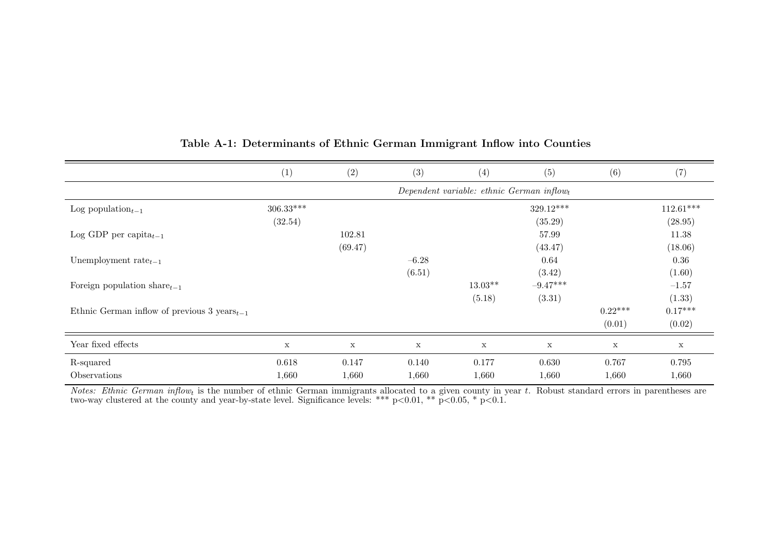|                                                   | (1)                                                   | (2)         | (3)         | (4)         | (5)         | (6)         | (7)         |
|---------------------------------------------------|-------------------------------------------------------|-------------|-------------|-------------|-------------|-------------|-------------|
|                                                   | Dependent variable: ethnic German inflow <sub>t</sub> |             |             |             |             |             |             |
| Log population <sub><math>t-1</math></sub>        | $306.33***$                                           |             |             |             | 329.12***   |             | $112.61***$ |
|                                                   | (32.54)                                               |             |             |             | (35.29)     |             | (28.95)     |
| Log GDP per capita $_{t-1}$                       |                                                       | 102.81      |             |             | 57.99       |             | 11.38       |
|                                                   |                                                       | (69.47)     |             |             | (43.47)     |             | (18.06)     |
| Unemployment rate $_{t-1}$                        |                                                       |             | $-6.28$     |             | 0.64        |             | 0.36        |
|                                                   |                                                       |             | (6.51)      |             | (3.42)      |             | (1.60)      |
| Foreign population share $_{t-1}$                 |                                                       |             |             | $13.03**$   | $-9.47***$  |             | $-1.57$     |
|                                                   |                                                       |             |             | (5.18)      | (3.31)      |             | (1.33)      |
| Ethnic German inflow of previous 3 years $_{t-1}$ |                                                       |             |             |             |             | $0.22***$   | $0.17***$   |
|                                                   |                                                       |             |             |             |             | (0.01)      | (0.02)      |
| Year fixed effects                                | $\mathbf X$                                           | $\mathbf x$ | $\mathbf X$ | $\mathbf x$ | $\mathbf x$ | $\mathbf X$ | $\mathbf x$ |
| R-squared                                         | 0.618                                                 | 0.147       | 0.140       | 0.177       | 0.630       | 0.767       | 0.795       |
| Observations                                      | 1,660                                                 | 1,660       | 1,660       | 1,660       | 1,660       | 1,660       | 1,660       |

#### Table A-1: Determinants of Ethnic German Immigrant Inflow into Counties

*Notes: Ethnic German inflow<sub>t</sub>* is the number of ethnic German immigrants allocated to a given county in year t. Robust standard errors in parentheses are two-way clustered at the county and year-by-state level. Signific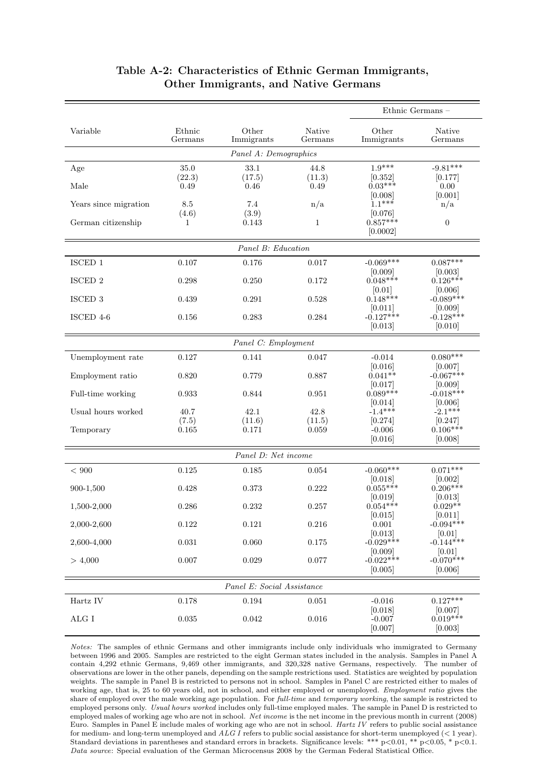|                       |                       |                            |                   | Ethnic Germans -                  |                        |  |  |  |  |  |
|-----------------------|-----------------------|----------------------------|-------------------|-----------------------------------|------------------------|--|--|--|--|--|
| Variable              | Ethnic<br>Germans     | Other<br>Immigrants        | Native<br>Germans | Other<br>Immigrants               | Native<br>Germans      |  |  |  |  |  |
| Panel A: Demographics |                       |                            |                   |                                   |                        |  |  |  |  |  |
| Age                   | 35.0                  | 33.1                       | 44.8              | $1.9***$                          | $-9.81***$             |  |  |  |  |  |
| Male                  | (22.3)<br>0.49        | (17.5)<br>0.46             | (11.3)<br>0.49    | [0.352]<br>$0.03***$              | [0.177]<br>0.00        |  |  |  |  |  |
|                       |                       |                            |                   | [0.008]                           | [0.001]                |  |  |  |  |  |
| Years since migration | 8.5                   | 7.4                        | n/a               | $1.1***$                          | n/a                    |  |  |  |  |  |
| German citizenship    | (4.6)<br>$\mathbf{1}$ | (3.9)<br>0.143             | $\mathbf{1}$      | [0.076]<br>$0.857***$<br>[0.0002] | $\boldsymbol{0}$       |  |  |  |  |  |
|                       |                       | Panel B: Education         |                   |                                   |                        |  |  |  |  |  |
| ISCED 1               | 0.107                 | 0.176                      | 0.017             | $-0.069***$                       | $0.087***$             |  |  |  |  |  |
| ISCED 2               | 0.298                 | 0.250                      | 0.172             | [0.009]<br>$0.048***$             | [0.003]<br>$0.126***$  |  |  |  |  |  |
|                       |                       |                            |                   | [0.01]                            | [0.006]                |  |  |  |  |  |
| ISCED <sub>3</sub>    | 0.439                 | 0.291                      | 0.528             | $0.148***$                        | $-0.089***$            |  |  |  |  |  |
| ISCED 4-6             | 0.156                 | 0.283                      | 0.284             | [0.011]<br>$-0.127***$            | [0.009]<br>$-0.128***$ |  |  |  |  |  |
|                       |                       |                            |                   | [0.013]                           | [0.010]                |  |  |  |  |  |
|                       |                       | Panel C: Employment        |                   |                                   |                        |  |  |  |  |  |
| Unemployment rate     | 0.127                 | 0.141                      | 0.047             | $-0.014$                          | $0.080***$             |  |  |  |  |  |
| Employment ratio      | 0.820                 | 0.779                      | 0.887             | [0.016]<br>$0.041**$              | [0.007]<br>$-0.067***$ |  |  |  |  |  |
|                       |                       |                            |                   | [0.017]                           | [0.009]                |  |  |  |  |  |
| Full-time working     | 0.933                 | 0.844                      | 0.951             | $0.089***$                        | $-0.018***$            |  |  |  |  |  |
| Usual hours worked    | 40.7                  | 42.1                       | 42.8              | [0.014]<br>$-1.4***$              | [0.006]<br>$-2.1***$   |  |  |  |  |  |
|                       | (7.5)                 | (11.6)                     | (11.5)            | [0.274]                           | [0.247]                |  |  |  |  |  |
| Temporary             | 0.165                 | 0.171                      | 0.059             | $-0.006$                          | $0.106***$             |  |  |  |  |  |
|                       |                       |                            |                   | [0.016]                           | [0.008]                |  |  |  |  |  |
|                       |                       | Panel D: Net income        |                   |                                   |                        |  |  |  |  |  |
| ${}< 900$             | 0.125                 | 0.185                      | 0.054             | $-0.060***$                       | $0.071***$             |  |  |  |  |  |
| 900-1,500             | 0.428                 | 0.373                      | 0.222             | [0.018]<br>$0.055***$             | [0.002]<br>$0.206***$  |  |  |  |  |  |
|                       |                       |                            |                   | [0.019]                           | [0.013]                |  |  |  |  |  |
| 1,500-2,000           | 0.286                 | 0.232                      | 0.257             | $0.054***$                        | $0.029**$              |  |  |  |  |  |
| 2,000-2,600           | $0.122\,$             | 0.121                      | 0.216             | [0.015]<br>0.001                  | 0.011 <br>$-0.094***$  |  |  |  |  |  |
|                       |                       |                            |                   | [0.013]                           | [0.01]                 |  |  |  |  |  |
| 2,600-4,000           | 0.031                 | 0.060                      | 0.175             | $-0.029***$                       | $-0.144***$            |  |  |  |  |  |
| > 4,000               | 0.007                 | 0.029                      | 0.077             | [0.009]<br>$-0.022***$            | [0.01]<br>$-0.070***$  |  |  |  |  |  |
|                       |                       |                            |                   | [0.005]                           | [0.006]                |  |  |  |  |  |
|                       |                       | Panel E: Social Assistance |                   |                                   |                        |  |  |  |  |  |
| Hartz IV              | 0.178                 | $\,0.194\,$                | 0.051             | $-0.016$                          | $0.127***$             |  |  |  |  |  |
| $\rm ALG$ I           | $\,0.035\,$           | 0.042                      | 0.016             | [0.018]<br>$-0.007$               | [0.007]<br>$0.019***$  |  |  |  |  |  |
|                       |                       |                            |                   | [0.007]                           | [0.003]                |  |  |  |  |  |

#### Table A-2: Characteristics of Ethnic German Immigrants, Other Immigrants, and Native Germans

Notes: The samples of ethnic Germans and other immigrants include only individuals who immigrated to Germany between 1996 and 2005. Samples are restricted to the eight German states included in the analysis. Samples in Panel A contain 4,292 ethnic Germans, 9,469 other immigrants, and 320,328 native Germans, respectively. The number of observations are lower in the other panels, depending on the sample restrictions used. Statistics are weighted by population weights. The sample in Panel B is restricted to persons not in school. Samples in Panel C are restricted either to males of working age, that is, 25 to 60 years old, not in school, and either employed or unemployed. Employment ratio gives the share of employed over the male working age population. For full-time and temporary working, the sample is restricted to employed persons only. Usual hours worked includes only full-time employed males. The sample in Panel D is restricted to employed males of working age who are not in school. Net income is the net income in the previous month in current (2008) Euro. Samples in Panel E include males of working age who are not in school. Hartz IV refers to public social assistance for medium- and long-term unemployed and  $ALG I$  refers to public social assistance for short-term unemployed ( $\lt 1$  year). Standard deviations in parentheses and standard errors in brackets. Significance levels: \*\*\* p<0.01, \*\* p<0.05, \* p<0.1. Data source: Special evaluation of the German Microcensus 2008 by the German Federal Statistical Office.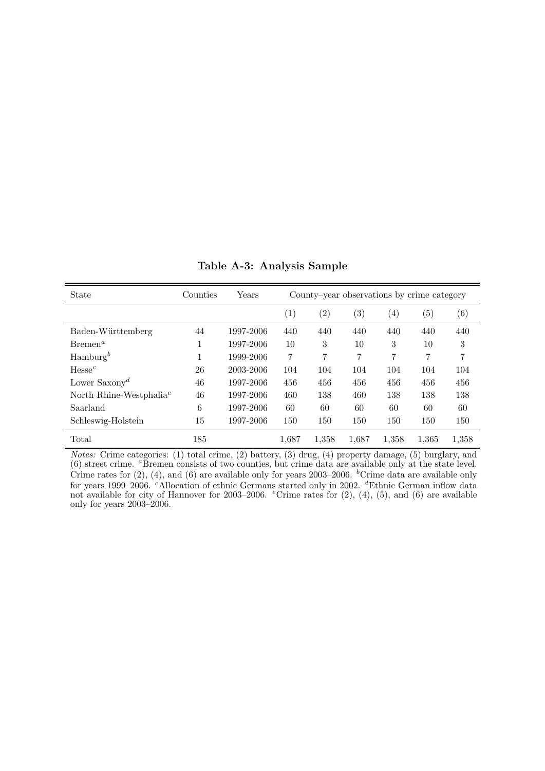| State                               | Counties | Years     |                   | County-year observations by crime category |                   |                   |                   |                   |  |
|-------------------------------------|----------|-----------|-------------------|--------------------------------------------|-------------------|-------------------|-------------------|-------------------|--|
|                                     |          |           | $\left( 1\right)$ | $\left( 2\right)$                          | $\left( 3\right)$ | $\left( 4\right)$ | $\left( 5\right)$ | $\left( 6\right)$ |  |
| Baden-Württemberg                   | 44       | 1997-2006 | 440               | 440                                        | 440               | 440               | 440               | 440               |  |
| $B$ remen <sup>a</sup>              | 1<br>T   | 1997-2006 | 10                | 3                                          | 10                | 3                 | 10                | 3                 |  |
| $\text{Hamburg}^b$                  | 1        | 1999-2006 | 7                 | 7                                          | 7                 | 7                 | 7                 | 7                 |  |
| Hesse <sup>c</sup>                  | 26       | 2003-2006 | 104               | 104                                        | 104               | 104               | 104               | 104               |  |
| Lower Saxony <sup>d</sup>           | 46       | 1997-2006 | 456               | 456                                        | 456               | 456               | 456               | 456               |  |
| North Rhine-Westphalia <sup>e</sup> | 46       | 1997-2006 | 460               | 138                                        | 460               | 138               | 138               | 138               |  |
| Saarland                            | 6        | 1997-2006 | 60                | 60                                         | 60                | 60                | 60                | 60                |  |
| Schleswig-Holstein                  | 15       | 1997-2006 | 150               | 150                                        | 150               | 150               | 150               | 150               |  |
| Total                               | 185      |           | 1.687             | 1,358                                      | 1,687             | 1,358             | 1,365             | 1,358             |  |

Table A-3: Analysis Sample

Notes: Crime categories: (1) total crime, (2) battery, (3) drug, (4) property damage, (5) burglary, and (6) street crime. <sup>a</sup>Bremen consists of two counties, but crime data are available only at the state level. Crime rates for  $(2)$ ,  $(4)$ , and  $(6)$  are available only for years 2003–2006. <sup>b</sup>Crime data are available only for years 1999–2006. <sup>c</sup>Allocation of ethnic Germans started only in 2002. <sup>d</sup>Ethnic German inflow data not available for city of Hannover for 2003–2006. <sup>e</sup>Crime rates for  $(2)$ ,  $(4)$ ,  $(5)$ , and  $(6)$  are available only for years 2003–2006.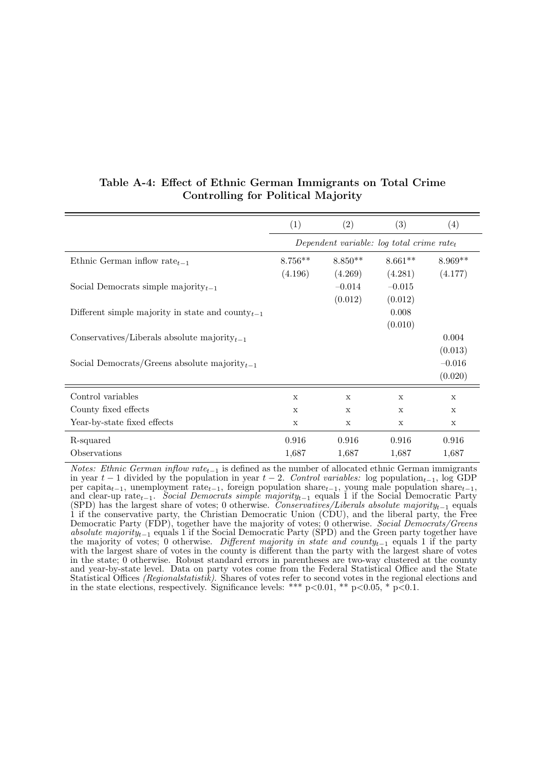|                                                        | (1)         | (2)                                                   | (3)         | (4)         |
|--------------------------------------------------------|-------------|-------------------------------------------------------|-------------|-------------|
|                                                        |             | Dependent variable: log total crime rate <sub>t</sub> |             |             |
| Ethnic German inflow rate <sub><math>t-1</math></sub>  | $8.756**$   | $8.850**$                                             | $8.661**$   | $8.969**$   |
|                                                        | (4.196)     | (4.269)                                               | (4.281)     | (4.177)     |
| Social Democrats simple majority $_{t-1}$              |             | $-0.014$                                              | $-0.015$    |             |
|                                                        |             | (0.012)                                               | (0.012)     |             |
| Different simple majority in state and county $_{t-1}$ |             |                                                       | 0.008       |             |
|                                                        |             |                                                       | (0.010)     |             |
| Conservatives/Liberals absolute majority $_{t-1}$      |             |                                                       |             | 0.004       |
|                                                        |             |                                                       |             | (0.013)     |
| Social Democrats/Greens absolute majority $_{t-1}$     |             |                                                       |             | $-0.016$    |
|                                                        |             |                                                       |             | (0.020)     |
| Control variables                                      | $\mathbf X$ | X                                                     | $\mathbf X$ | $\mathbf X$ |
| County fixed effects                                   | X           | X                                                     | X           | $\mathbf x$ |
| Year-by-state fixed effects                            | X           | X                                                     | X           | X           |
| R-squared                                              | 0.916       | 0.916                                                 | 0.916       | 0.916       |
| Observations                                           | 1,687       | 1,687                                                 | 1,687       | 1,687       |

#### Table A-4: Effect of Ethnic German Immigrants on Total Crime Controlling for Political Majority

Notes: Ethnic German inflow rate<sub>t−1</sub> is defined as the number of allocated ethnic German immigrants in year  $t-1$  divided by the population in year  $t-2$ . Control variables: log population<sub>t-1</sub>, log GDP per capita<sub>t−1</sub>, unemployment rate<sub>t−1</sub>, foreign population share<sub>t−1</sub>, young male population share<sub>t−1</sub>, and clear-up rate<sub>t−1</sub>. Social Democrats simple majority<sub>t−1</sub> equals 1 if the Social Democratic Party (SPD) has the largest share of votes; 0 otherwise. Conservatives/Liberals absolute majority<sub>t−1</sub> equals 1 if the conservative party, the Christian Democratic Union (CDU), and the liberal party, the Free Democratic Party (FDP), together have the majority of votes; 0 otherwise. Social Democrats/Greens absolute majority<sub>t−1</sub> equals 1 if the Social Democratic Party (SPD) and the Green party together have the majority of votes; 0 otherwise. Different majority in state and county<sub>t−1</sub> equals 1 if the party with the largest share of votes in the county is different than the party with the largest share of votes in the state; 0 otherwise. Robust standard errors in parentheses are two-way clustered at the county and year-by-state level. Data on party votes come from the Federal Statistical Office and the State Statistical Offices *(Regionalstatistik)*. Shares of votes refer to second votes in the regional elections and in the state elections, respectively. Significance levels: \*\*\* p<0.01, \*\* p<0.05, \* p<0.1.